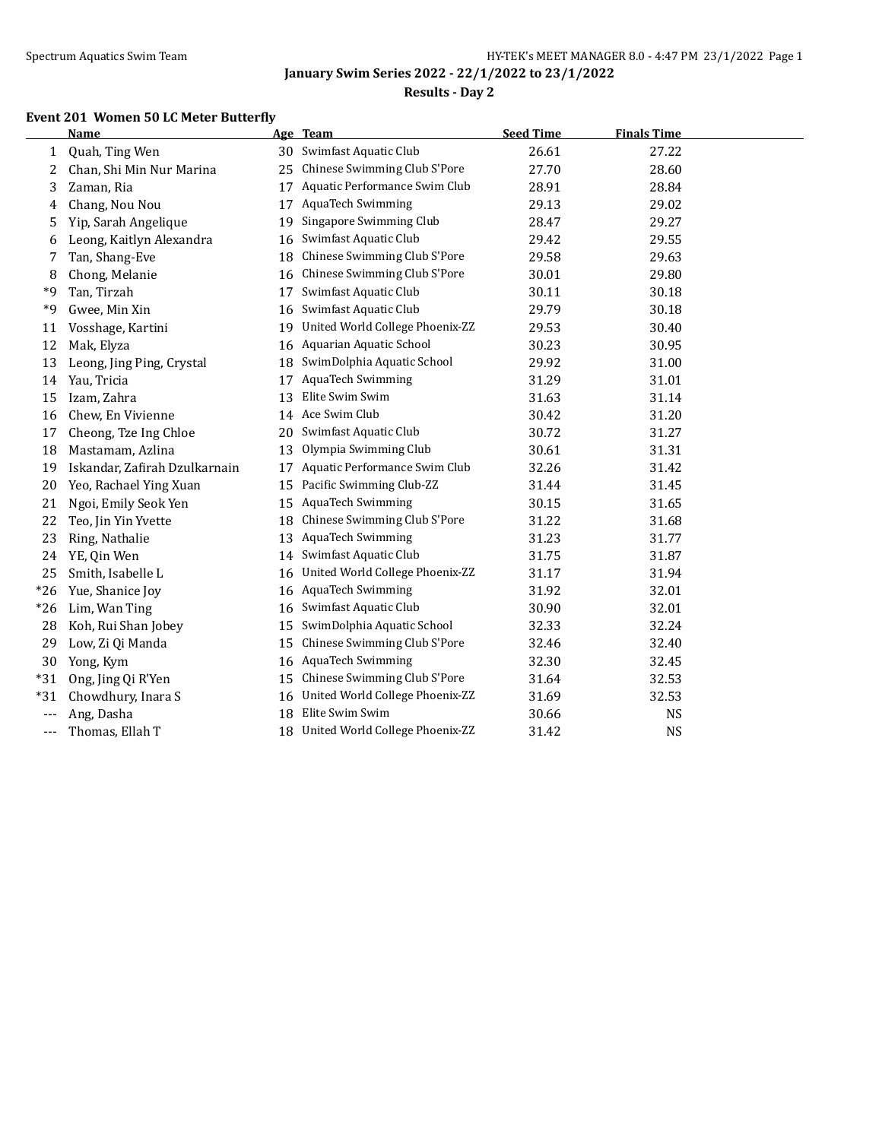$\overline{a}$ 

**January Swim Series 2022 - 22/1/2022 to 23/1/2022**

## **Results - Day 2**

## **Event 201 Women 50 LC Meter Butterfly**

|              | Name                          |    | Age Team                        | <b>Seed Time</b> | <b>Finals Time</b> |  |
|--------------|-------------------------------|----|---------------------------------|------------------|--------------------|--|
| $\mathbf{1}$ | Quah, Ting Wen                | 30 | Swimfast Aquatic Club           | 26.61            | 27.22              |  |
| 2            | Chan, Shi Min Nur Marina      | 25 | Chinese Swimming Club S'Pore    | 27.70            | 28.60              |  |
| 3            | Zaman, Ria                    | 17 | Aquatic Performance Swim Club   | 28.91            | 28.84              |  |
| 4            | Chang, Nou Nou                | 17 | <b>AquaTech Swimming</b>        | 29.13            | 29.02              |  |
| 5            | Yip, Sarah Angelique          | 19 | Singapore Swimming Club         | 28.47            | 29.27              |  |
| 6            | Leong, Kaitlyn Alexandra      | 16 | Swimfast Aquatic Club           | 29.42            | 29.55              |  |
| 7            | Tan, Shang-Eve                | 18 | Chinese Swimming Club S'Pore    | 29.58            | 29.63              |  |
| 8            | Chong, Melanie                | 16 | Chinese Swimming Club S'Pore    | 30.01            | 29.80              |  |
| *9           | Tan, Tirzah                   | 17 | Swimfast Aquatic Club           | 30.11            | 30.18              |  |
| *9           | Gwee, Min Xin                 | 16 | Swimfast Aquatic Club           | 29.79            | 30.18              |  |
| 11           | Vosshage, Kartini             | 19 | United World College Phoenix-ZZ | 29.53            | 30.40              |  |
| 12           | Mak, Elyza                    | 16 | Aquarian Aquatic School         | 30.23            | 30.95              |  |
| 13           | Leong, Jing Ping, Crystal     | 18 | SwimDolphia Aquatic School      | 29.92            | 31.00              |  |
| 14           | Yau, Tricia                   | 17 | <b>AquaTech Swimming</b>        | 31.29            | 31.01              |  |
| 15           | Izam, Zahra                   | 13 | Elite Swim Swim                 | 31.63            | 31.14              |  |
| 16           | Chew, En Vivienne             |    | 14 Ace Swim Club                | 30.42            | 31.20              |  |
| 17           | Cheong, Tze Ing Chloe         | 20 | Swimfast Aquatic Club           | 30.72            | 31.27              |  |
| 18           | Mastamam, Azlina              | 13 | Olympia Swimming Club           | 30.61            | 31.31              |  |
| 19           | Iskandar, Zafirah Dzulkarnain | 17 | Aquatic Performance Swim Club   | 32.26            | 31.42              |  |
| 20           | Yeo, Rachael Ying Xuan        | 15 | Pacific Swimming Club-ZZ        | 31.44            | 31.45              |  |
| 21           | Ngoi, Emily Seok Yen          | 15 | AquaTech Swimming               | 30.15            | 31.65              |  |
| 22           | Teo, Jin Yin Yvette           | 18 | Chinese Swimming Club S'Pore    | 31.22            | 31.68              |  |
| 23           | Ring, Nathalie                | 13 | AquaTech Swimming               | 31.23            | 31.77              |  |
| 24           | YE, Qin Wen                   | 14 | Swimfast Aquatic Club           | 31.75            | 31.87              |  |
| 25           | Smith, Isabelle L             | 16 | United World College Phoenix-ZZ | 31.17            | 31.94              |  |
| $*26$        | Yue, Shanice Joy              | 16 | AquaTech Swimming               | 31.92            | 32.01              |  |
| $*26$        | Lim, Wan Ting                 | 16 | Swimfast Aquatic Club           | 30.90            | 32.01              |  |
| 28           | Koh, Rui Shan Jobey           | 15 | SwimDolphia Aquatic School      | 32.33            | 32.24              |  |
| 29           | Low, Zi Qi Manda              | 15 | Chinese Swimming Club S'Pore    | 32.46            | 32.40              |  |
| 30           | Yong, Kym                     | 16 | AquaTech Swimming               | 32.30            | 32.45              |  |
| $*31$        | Ong, Jing Qi R'Yen            | 15 | Chinese Swimming Club S'Pore    | 31.64            | 32.53              |  |
| $*31$        | Chowdhury, Inara S            | 16 | United World College Phoenix-ZZ | 31.69            | 32.53              |  |
| $---$        | Ang, Dasha                    | 18 | Elite Swim Swim                 | 30.66            | <b>NS</b>          |  |
| $---$        | Thomas, Ellah T               | 18 | United World College Phoenix-ZZ | 31.42            | <b>NS</b>          |  |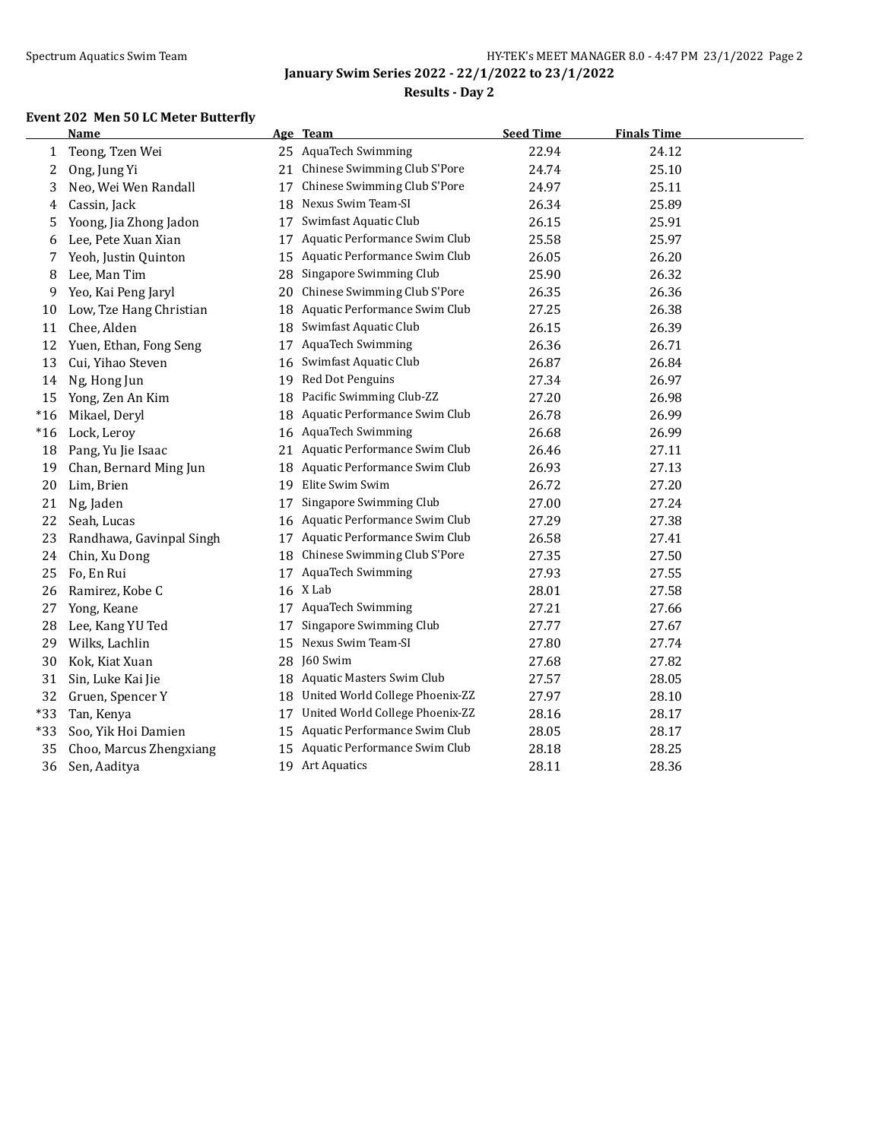$\overline{a}$ 

**January Swim Series 2022 - 22/1/2022 to 23/1/2022**

## **Results - Day 2**

## **Event 202 Men 50 LC Meter Butterfly**

|       | <b>Name</b>              |    | Age Team                         | <b>Seed Time</b> | <b>Finals Time</b> |  |
|-------|--------------------------|----|----------------------------------|------------------|--------------------|--|
| 1     | Teong, Tzen Wei          |    | 25 AquaTech Swimming             | 22.94            | 24.12              |  |
| 2     | Ong, Jung Yi             | 21 | Chinese Swimming Club S'Pore     | 24.74            | 25.10              |  |
| 3     | Neo, Wei Wen Randall     | 17 | Chinese Swimming Club S'Pore     | 24.97            | 25.11              |  |
| 4     | Cassin, Jack             | 18 | Nexus Swim Team-SI               | 26.34            | 25.89              |  |
| 5     | Yoong, Jia Zhong Jadon   | 17 | Swimfast Aquatic Club            | 26.15            | 25.91              |  |
| 6     | Lee, Pete Xuan Xian      | 17 | Aquatic Performance Swim Club    | 25.58            | 25.97              |  |
| 7     | Yeoh, Justin Quinton     | 15 | Aquatic Performance Swim Club    | 26.05            | 26.20              |  |
| 8     | Lee, Man Tim             | 28 | Singapore Swimming Club          | 25.90            | 26.32              |  |
| 9     | Yeo, Kai Peng Jaryl      | 20 | Chinese Swimming Club S'Pore     | 26.35            | 26.36              |  |
| 10    | Low, Tze Hang Christian  | 18 | Aquatic Performance Swim Club    | 27.25            | 26.38              |  |
| 11    | Chee, Alden              | 18 | Swimfast Aquatic Club            | 26.15            | 26.39              |  |
| 12    | Yuen, Ethan, Fong Seng   | 17 | <b>AquaTech Swimming</b>         | 26.36            | 26.71              |  |
| 13    | Cui, Yihao Steven        | 16 | Swimfast Aquatic Club            | 26.87            | 26.84              |  |
| 14    | Ng, Hong Jun             | 19 | Red Dot Penguins                 | 27.34            | 26.97              |  |
| 15    | Yong, Zen An Kim         | 18 | Pacific Swimming Club-ZZ         | 27.20            | 26.98              |  |
| $*16$ | Mikael, Deryl            | 18 | Aquatic Performance Swim Club    | 26.78            | 26.99              |  |
| $*16$ | Lock, Leroy              | 16 | AquaTech Swimming                | 26.68            | 26.99              |  |
| 18    | Pang, Yu Jie Isaac       |    | 21 Aquatic Performance Swim Club | 26.46            | 27.11              |  |
| 19    | Chan, Bernard Ming Jun   |    | 18 Aquatic Performance Swim Club | 26.93            | 27.13              |  |
| 20    | Lim, Brien               |    | 19 Elite Swim Swim               | 26.72            | 27.20              |  |
| 21    | Ng, Jaden                | 17 | Singapore Swimming Club          | 27.00            | 27.24              |  |
| 22    | Seah, Lucas              | 16 | Aquatic Performance Swim Club    | 27.29            | 27.38              |  |
| 23    | Randhawa, Gavinpal Singh | 17 | Aquatic Performance Swim Club    | 26.58            | 27.41              |  |
| 24    | Chin, Xu Dong            | 18 | Chinese Swimming Club S'Pore     | 27.35            | 27.50              |  |
| 25    | Fo, En Rui               |    | 17 AquaTech Swimming             | 27.93            | 27.55              |  |
| 26    | Ramirez, Kobe C          |    | 16 X Lab                         | 28.01            | 27.58              |  |
| 27    | Yong, Keane              |    | 17 AquaTech Swimming             | 27.21            | 27.66              |  |
| 28    | Lee, Kang YU Ted         | 17 | Singapore Swimming Club          | 27.77            | 27.67              |  |
| 29    | Wilks, Lachlin           | 15 | Nexus Swim Team-SI               | 27.80            | 27.74              |  |
| 30    | Kok, Kiat Xuan           |    | 28 J60 Swim                      | 27.68            | 27.82              |  |
| 31    | Sin, Luke Kai Jie        |    | 18 Aquatic Masters Swim Club     | 27.57            | 28.05              |  |
| 32    | Gruen, Spencer Y         | 18 | United World College Phoenix-ZZ  | 27.97            | 28.10              |  |
| $*33$ | Tan, Kenya               | 17 | United World College Phoenix-ZZ  | 28.16            | 28.17              |  |
| $*33$ | Soo, Yik Hoi Damien      | 15 | Aquatic Performance Swim Club    | 28.05            | 28.17              |  |
| 35    | Choo, Marcus Zhengxiang  | 15 | Aquatic Performance Swim Club    | 28.18            | 28.25              |  |
| 36    | Sen, Aaditya             |    | 19 Art Aquatics                  | 28.11            | 28.36              |  |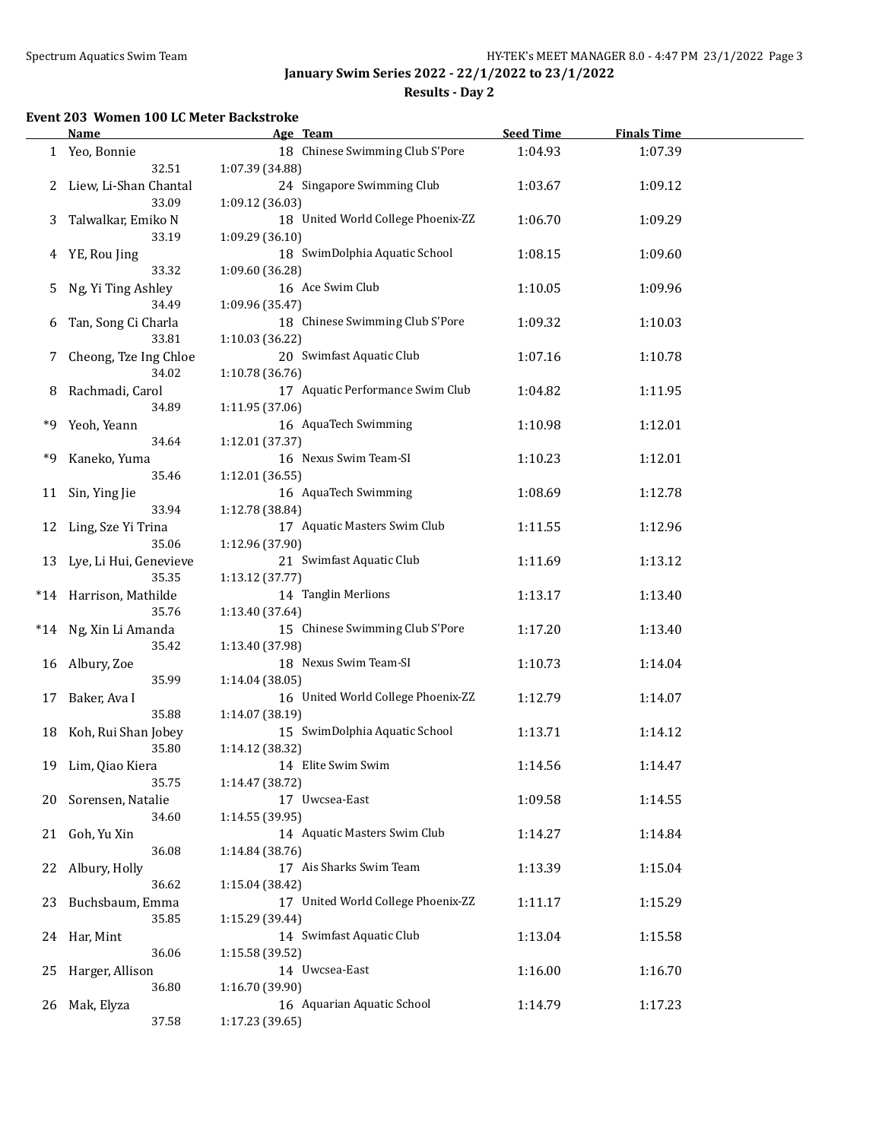**Results - Day 2**

#### **Event 203 Women 100 LC Meter Backstroke**

|       | <b>Name</b>                     | Age Team                                           | <b>Seed Time</b> | <b>Finals Time</b> |  |
|-------|---------------------------------|----------------------------------------------------|------------------|--------------------|--|
|       | 1 Yeo, Bonnie                   | 18 Chinese Swimming Club S'Pore                    | 1:04.93          | 1:07.39            |  |
|       | 32.51                           | 1:07.39 (34.88)                                    |                  |                    |  |
| 2.    | Liew, Li-Shan Chantal           | 24 Singapore Swimming Club                         | 1:03.67          | 1:09.12            |  |
|       | 33.09                           | 1:09.12 (36.03)                                    |                  |                    |  |
| 3     | Talwalkar, Emiko N              | 18 United World College Phoenix-ZZ                 | 1:06.70          | 1:09.29            |  |
|       | 33.19                           | 1:09.29 (36.10)                                    |                  |                    |  |
| 4     | YE, Rou Jing                    | 18 SwimDolphia Aquatic School                      | 1:08.15          | 1:09.60            |  |
|       | 33.32                           | 1:09.60 (36.28)                                    |                  |                    |  |
| 5     | Ng, Yi Ting Ashley              | 16 Ace Swim Club                                   | 1:10.05          | 1:09.96            |  |
|       | 34.49                           | 1:09.96 (35.47)                                    |                  |                    |  |
| 6     | Tan, Song Ci Charla             | 18 Chinese Swimming Club S'Pore                    | 1:09.32          | 1:10.03            |  |
|       | 33.81                           | 1:10.03 (36.22)                                    |                  |                    |  |
| 7     | Cheong, Tze Ing Chloe           | 20 Swimfast Aquatic Club                           | 1:07.16          | 1:10.78            |  |
|       | 34.02                           | 1:10.78 (36.76)                                    |                  |                    |  |
| 8     | Rachmadi, Carol                 | 17 Aquatic Performance Swim Club                   | 1:04.82          | 1:11.95            |  |
|       | 34.89                           | 1:11.95 (37.06)                                    |                  |                    |  |
| *9    | Yeoh, Yeann                     | 16 AquaTech Swimming                               | 1:10.98          | 1:12.01            |  |
|       | 34.64                           | 1:12.01 (37.37)                                    |                  |                    |  |
| *9    | Kaneko, Yuma                    | 16 Nexus Swim Team-SI                              | 1:10.23          | 1:12.01            |  |
|       | 35.46                           | 1:12.01 (36.55)                                    |                  |                    |  |
|       | Sin, Ying Jie                   | 16 AquaTech Swimming                               | 1:08.69          | 1:12.78            |  |
| 11    | 33.94                           | 1:12.78 (38.84)                                    |                  |                    |  |
|       |                                 | 17 Aquatic Masters Swim Club                       |                  |                    |  |
| 12    | Ling, Sze Yi Trina<br>35.06     |                                                    | 1:11.55          | 1:12.96            |  |
|       |                                 | 1:12.96 (37.90)<br>21 Swimfast Aquatic Club        |                  |                    |  |
| 13    | Lye, Li Hui, Genevieve<br>35.35 |                                                    | 1:11.69          | 1:13.12            |  |
|       |                                 | 1:13.12(37.77)<br>14 Tanglin Merlions              |                  |                    |  |
| $*14$ | Harrison, Mathilde              |                                                    | 1:13.17          | 1:13.40            |  |
|       | 35.76                           | 1:13.40 (37.64)<br>15 Chinese Swimming Club S'Pore |                  |                    |  |
| $*14$ | Ng, Xin Li Amanda               |                                                    | 1:17.20          | 1:13.40            |  |
|       | 35.42                           | 1:13.40 (37.98)<br>18 Nexus Swim Team-SI           |                  |                    |  |
| 16    | Albury, Zoe                     |                                                    | 1:10.73          | 1:14.04            |  |
|       | 35.99                           | 1:14.04 (38.05)                                    |                  |                    |  |
| 17    | Baker, Ava I                    | 16 United World College Phoenix-ZZ                 | 1:12.79          | 1:14.07            |  |
|       | 35.88                           | 1:14.07 (38.19)                                    |                  |                    |  |
| 18    | Koh, Rui Shan Jobey             | 15 SwimDolphia Aquatic School                      | 1:13.71          | 1:14.12            |  |
|       | 35.80                           | 1:14.12 (38.32)                                    |                  |                    |  |
| 19    | Lim, Qiao Kiera                 | 14 Elite Swim Swim                                 | 1:14.56          | 1:14.47            |  |
|       | 35.75                           | 1:14.47 (38.72)                                    |                  |                    |  |
|       | 20 Sorensen, Natalie            | 17 Uwcsea-East                                     | 1:09.58          | 1:14.55            |  |
|       | 34.60                           | 1:14.55 (39.95)                                    |                  |                    |  |
| 21    | Goh, Yu Xin                     | 14 Aquatic Masters Swim Club                       | 1:14.27          | 1:14.84            |  |
|       | 36.08                           | 1:14.84 (38.76)                                    |                  |                    |  |
| 22    | Albury, Holly                   | 17 Ais Sharks Swim Team                            | 1:13.39          | 1:15.04            |  |
|       | 36.62                           | 1:15.04 (38.42)                                    |                  |                    |  |
| 23    | Buchsbaum, Emma                 | 17 United World College Phoenix-ZZ                 | 1:11.17          | 1:15.29            |  |
|       | 35.85                           | 1:15.29 (39.44)                                    |                  |                    |  |
|       | 24 Har, Mint                    | 14 Swimfast Aquatic Club                           | 1:13.04          | 1:15.58            |  |
|       | 36.06                           | 1:15.58 (39.52)                                    |                  |                    |  |
| 25    | Harger, Allison                 | 14 Uwcsea-East                                     | 1:16.00          | 1:16.70            |  |
|       | 36.80                           | 1:16.70 (39.90)                                    |                  |                    |  |
| 26    | Mak, Elyza                      | 16 Aquarian Aquatic School                         | 1:14.79          | 1:17.23            |  |
|       | 37.58                           | 1:17.23 (39.65)                                    |                  |                    |  |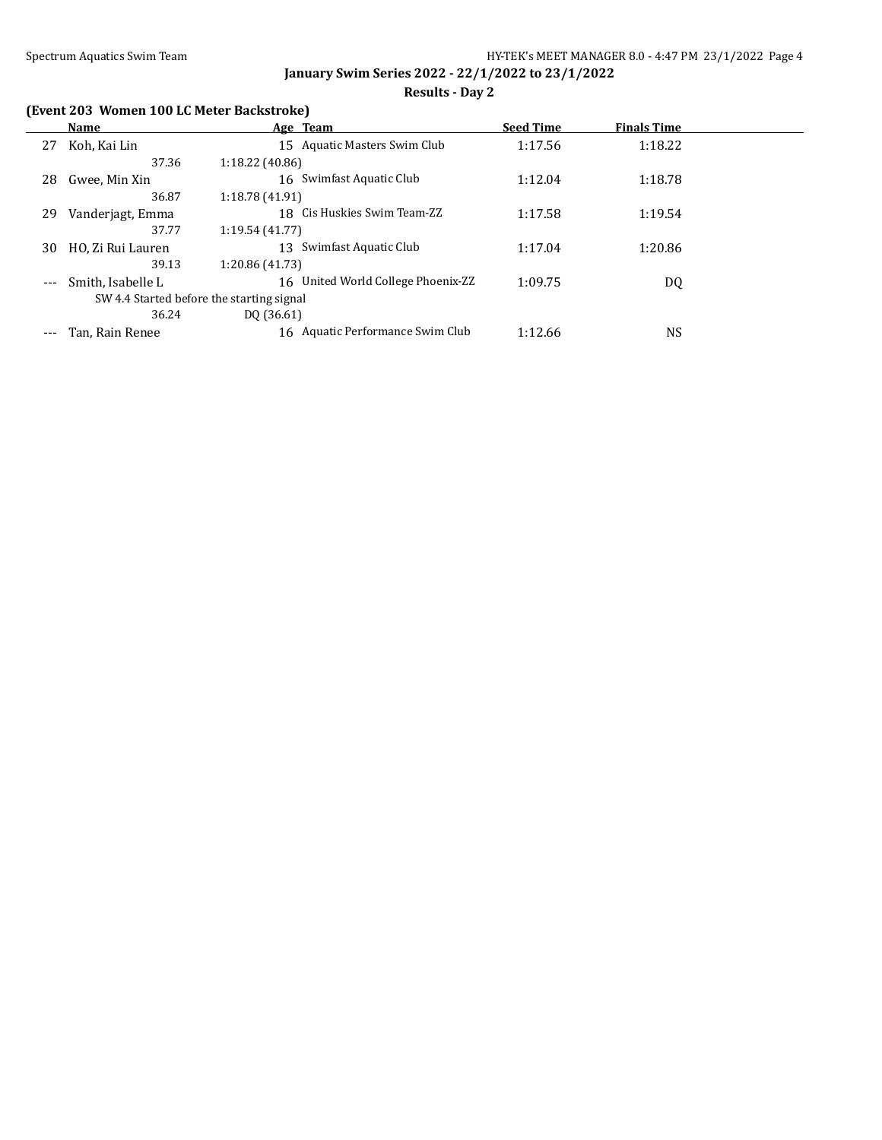## **Results - Day 2**

# **(Event 203 Women 100 LC Meter Backstroke)**

|          | Name                                      | Age Team                           | <b>Seed Time</b> | <b>Finals Time</b> |  |
|----------|-------------------------------------------|------------------------------------|------------------|--------------------|--|
| 27       | Koh, Kai Lin                              | 15 Aquatic Masters Swim Club       | 1:17.56          | 1:18.22            |  |
|          | 37.36                                     | 1:18.22 (40.86)                    |                  |                    |  |
| 28       | Gwee, Min Xin                             | 16 Swimfast Aquatic Club           | 1:12.04          | 1:18.78            |  |
|          | 36.87                                     | 1:18.78 (41.91)                    |                  |                    |  |
| 29       | Vanderjagt, Emma                          | 18 Cis Huskies Swim Team-ZZ        | 1:17.58          | 1:19.54            |  |
|          | 37.77                                     | 1:19.54 (41.77)                    |                  |                    |  |
| 30       | HO, Zi Rui Lauren                         | Swimfast Aquatic Club<br>13.       | 1:17.04          | 1:20.86            |  |
|          | 39.13                                     | 1:20.86 (41.73)                    |                  |                    |  |
| $\cdots$ | Smith, Isabelle L                         | 16 United World College Phoenix-ZZ | 1:09.75          | DQ                 |  |
|          | SW 4.4 Started before the starting signal |                                    |                  |                    |  |
|          | 36.24                                     | DO (36.61)                         |                  |                    |  |
| $---$    | Tan, Rain Renee                           | 16 Aquatic Performance Swim Club   | 1:12.66          | <b>NS</b>          |  |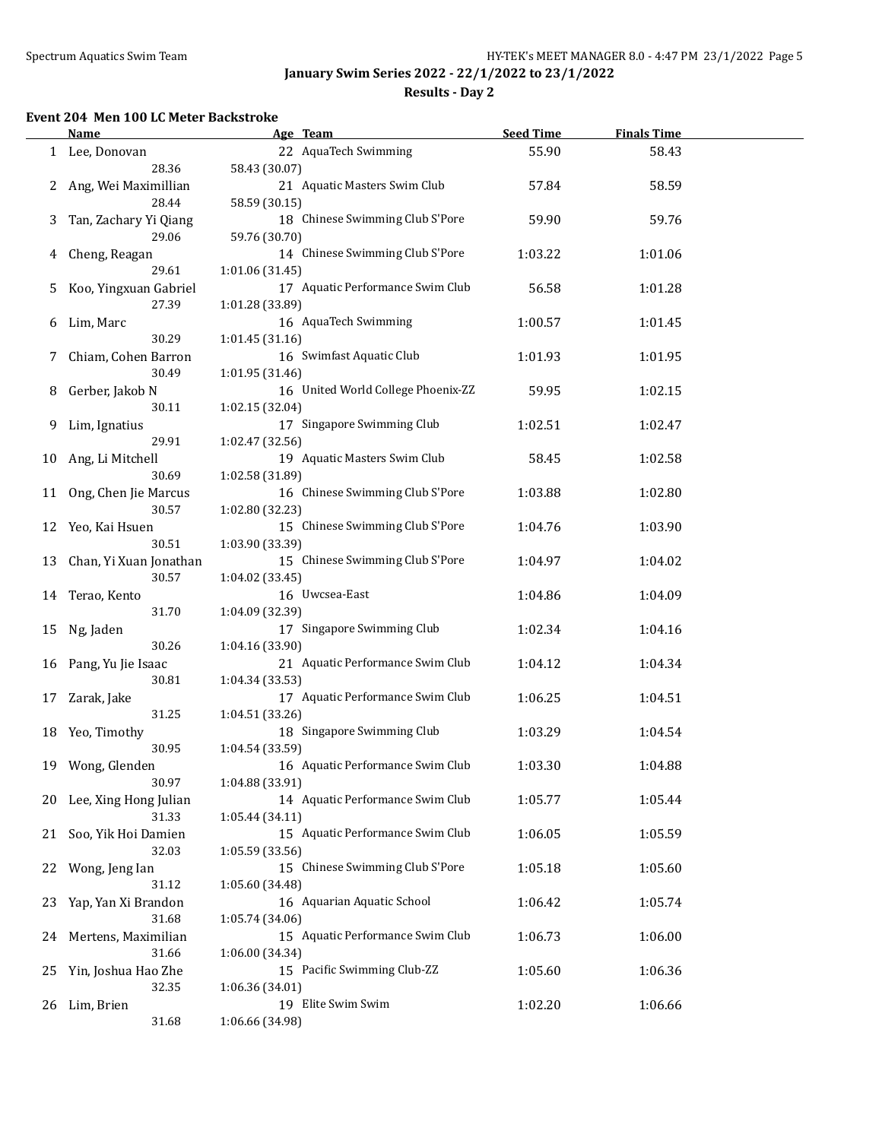**Results - Day 2**

#### **Event 204 Men 100 LC Meter Backstroke**

|    | Name                              | Age Team                                              | <b>Seed Time</b> | <b>Finals Time</b> |  |
|----|-----------------------------------|-------------------------------------------------------|------------------|--------------------|--|
|    | 1 Lee, Donovan<br>28.36           | 22 AquaTech Swimming<br>58.43 (30.07)                 | 55.90            | 58.43              |  |
| 2  | Ang, Wei Maximillian<br>28.44     | 21 Aquatic Masters Swim Club<br>58.59 (30.15)         | 57.84            | 58.59              |  |
| 3  | Tan, Zachary Yi Qiang<br>29.06    | 18 Chinese Swimming Club S'Pore<br>59.76 (30.70)      | 59.90            | 59.76              |  |
| 4  | Cheng, Reagan                     | 14 Chinese Swimming Club S'Pore                       | 1:03.22          | 1:01.06            |  |
| 5  | 29.61<br>Koo, Yingxuan Gabriel    | 1:01.06 (31.45)<br>17 Aquatic Performance Swim Club   | 56.58            | 1:01.28            |  |
| 6  | 27.39<br>Lim, Marc                | 1:01.28 (33.89)<br>16 AquaTech Swimming               | 1:00.57          | 1:01.45            |  |
| 7  | 30.29<br>Chiam, Cohen Barron      | 1:01.45(31.16)<br>16 Swimfast Aquatic Club            | 1:01.93          | 1:01.95            |  |
| 8  | 30.49<br>Gerber, Jakob N          | 1:01.95 (31.46)<br>16 United World College Phoenix-ZZ | 59.95            | 1:02.15            |  |
| 9  | 30.11<br>Lim, Ignatius            | 1:02.15 (32.04)<br>17 Singapore Swimming Club         | 1:02.51          | 1:02.47            |  |
| 10 | 29.91<br>Ang, Li Mitchell         | 1:02.47 (32.56)<br>19 Aquatic Masters Swim Club       | 58.45            | 1:02.58            |  |
| 11 | 30.69<br>Ong, Chen Jie Marcus     | 1:02.58 (31.89)<br>16 Chinese Swimming Club S'Pore    | 1:03.88          | 1:02.80            |  |
| 12 | 30.57<br>Yeo, Kai Hsuen           | 1:02.80 (32.23)<br>15 Chinese Swimming Club S'Pore    | 1:04.76          | 1:03.90            |  |
| 13 | 30.51<br>Chan, Yi Xuan Jonathan   | 1:03.90 (33.39)<br>15 Chinese Swimming Club S'Pore    | 1:04.97          | 1:04.02            |  |
|    | 30.57<br>14 Terao, Kento<br>31.70 | 1:04.02 (33.45)<br>16 Uwcsea-East<br>1:04.09 (32.39)  | 1:04.86          | 1:04.09            |  |
| 15 | Ng, Jaden<br>30.26                | 17 Singapore Swimming Club<br>1:04.16 (33.90)         | 1:02.34          | 1:04.16            |  |
|    | 16 Pang, Yu Jie Isaac<br>30.81    | 21 Aquatic Performance Swim Club<br>1:04.34 (33.53)   | 1:04.12          | 1:04.34            |  |
| 17 | Zarak, Jake<br>31.25              | 17 Aquatic Performance Swim Club<br>1:04.51(33.26)    | 1:06.25          | 1:04.51            |  |
|    | 18 Yeo, Timothy<br>30.95          | 18 Singapore Swimming Club<br>1:04.54 (33.59)         | 1:03.29          | 1:04.54            |  |
|    | 19 Wong, Glenden<br>30.97         | 16 Aquatic Performance Swim Club<br>1:04.88 (33.91)   | 1:03.30          | 1:04.88            |  |
| 20 | Lee, Xing Hong Julian<br>31.33    | 14 Aquatic Performance Swim Club<br>1:05.44 (34.11)   | 1:05.77          | 1:05.44            |  |
| 21 | Soo, Yik Hoi Damien<br>32.03      | 15 Aquatic Performance Swim Club<br>1:05.59 (33.56)   | 1:06.05          | 1:05.59            |  |
| 22 | Wong, Jeng Ian<br>31.12           | 15 Chinese Swimming Club S'Pore<br>1:05.60 (34.48)    | 1:05.18          | 1:05.60            |  |
| 23 | Yap, Yan Xi Brandon<br>31.68      | 16 Aquarian Aquatic School<br>1:05.74 (34.06)         | 1:06.42          | 1:05.74            |  |
| 24 | Mertens, Maximilian<br>31.66      | 15 Aquatic Performance Swim Club<br>1:06.00 (34.34)   | 1:06.73          | 1:06.00            |  |
| 25 | Yin, Joshua Hao Zhe<br>32.35      | 15 Pacific Swimming Club-ZZ<br>1:06.36 (34.01)        | 1:05.60          | 1:06.36            |  |
|    | 26 Lim, Brien<br>31.68            | 19 Elite Swim Swim<br>1:06.66 (34.98)                 | 1:02.20          | 1:06.66            |  |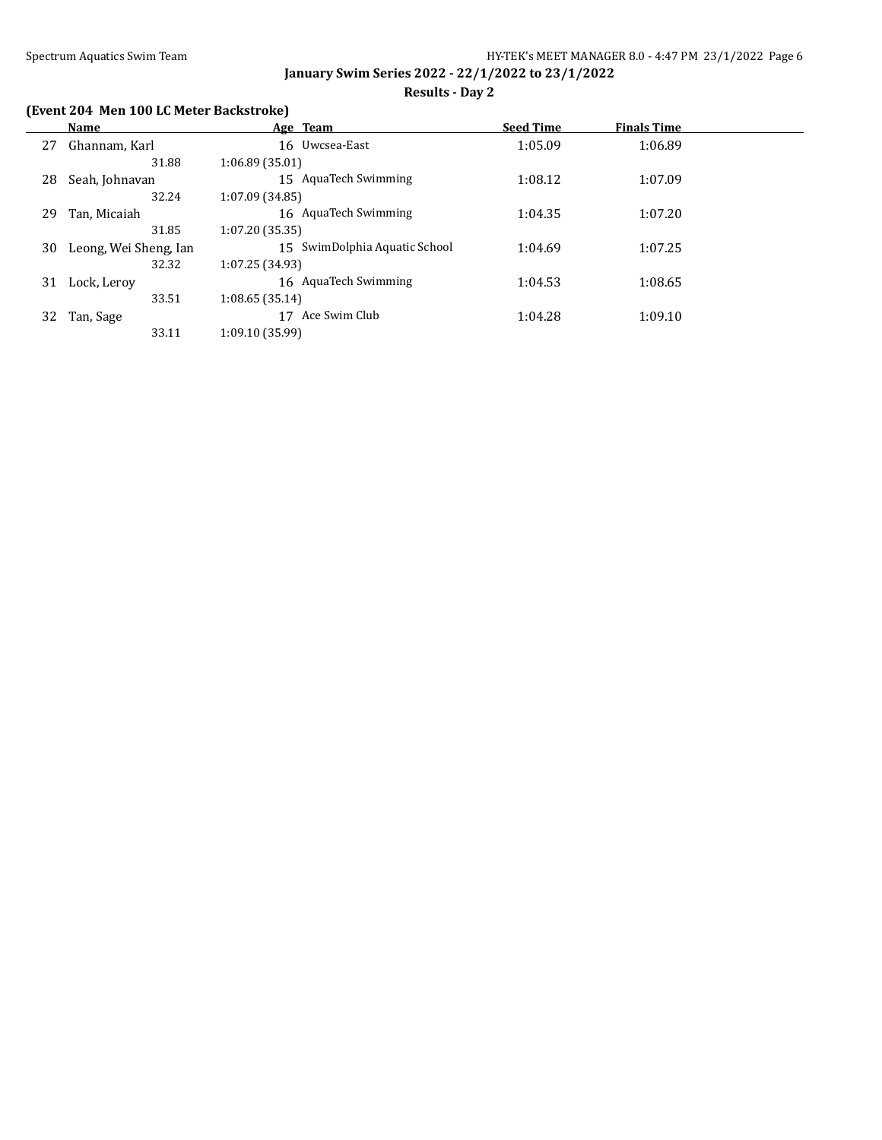## **Results - Day 2**

## **(Event 204 Men 100 LC Meter Backstroke)**

|    | Name                  | Age Team                      | <b>Seed Time</b> | <b>Finals Time</b> |  |
|----|-----------------------|-------------------------------|------------------|--------------------|--|
| 27 | Ghannam, Karl         | 16 Uwcsea-East                | 1:05.09          | 1:06.89            |  |
|    | 31.88                 | 1:06.89(35.01)                |                  |                    |  |
| 28 | Seah, Johnavan        | 15 AguaTech Swimming          | 1:08.12          | 1:07.09            |  |
|    | 32.24                 | 1:07.09(34.85)                |                  |                    |  |
| 29 | Tan, Micaiah          | 16 AquaTech Swimming          | 1:04.35          | 1:07.20            |  |
|    | 31.85                 | 1:07.20(35.35)                |                  |                    |  |
| 30 | Leong, Wei Sheng, Ian | 15 SwimDolphia Aquatic School | 1:04.69          | 1:07.25            |  |
|    | 32.32                 | 1:07.25(34.93)                |                  |                    |  |
| 31 | Lock, Leroy           | 16 AquaTech Swimming          | 1:04.53          | 1:08.65            |  |
|    | 33.51                 | 1:08.65(35.14)                |                  |                    |  |
| 32 | Tan, Sage             | Ace Swim Club<br>17           | 1:04.28          | 1:09.10            |  |
|    | 33.11                 | 1:09.10 (35.99)               |                  |                    |  |
|    |                       |                               |                  |                    |  |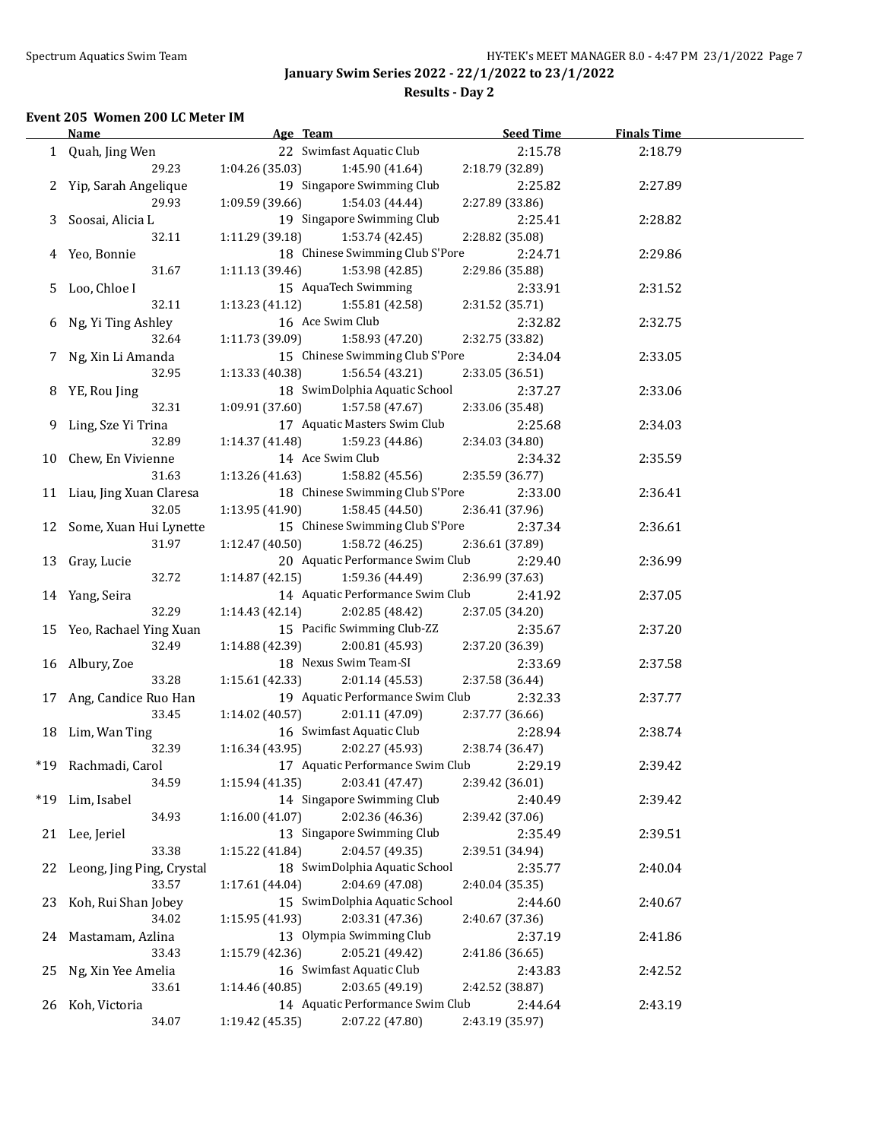**Results - Day 2**

#### **Event 205 Women 200 LC Meter IM**

|    | Name                       | Age Team                           | <b>Seed Time</b> | <b>Finals Time</b> |  |
|----|----------------------------|------------------------------------|------------------|--------------------|--|
|    | 1 Quah, Jing Wen           | 22 Swimfast Aquatic Club           | 2:15.78          | 2:18.79            |  |
|    | 29.23                      | 1:04.26 (35.03)<br>1:45.90 (41.64) | 2:18.79 (32.89)  |                    |  |
|    | 2 Yip, Sarah Angelique     | 19 Singapore Swimming Club         | 2:25.82          | 2:27.89            |  |
|    | 29.93                      | 1:09.59 (39.66)<br>1:54.03 (44.44) | 2:27.89 (33.86)  |                    |  |
|    | 3 Soosai, Alicia L         | 19 Singapore Swimming Club         | 2:25.41          | 2:28.82            |  |
|    | 32.11                      | 1:11.29(39.18)<br>1:53.74 (42.45)  | 2:28.82 (35.08)  |                    |  |
|    | 4 Yeo, Bonnie              | 18 Chinese Swimming Club S'Pore    | 2:24.71          | 2:29.86            |  |
|    | 31.67                      | 1:11.13 (39.46)<br>1:53.98 (42.85) | 2:29.86 (35.88)  |                    |  |
|    | 5 Loo, Chloe I             | 15 AquaTech Swimming               | 2:33.91          | 2:31.52            |  |
|    | 32.11                      | 1:13.23(41.12)<br>1:55.81 (42.58)  | 2:31.52 (35.71)  |                    |  |
|    | 6 Ng, Yi Ting Ashley       | 16 Ace Swim Club                   | 2:32.82          | 2:32.75            |  |
|    | 32.64                      | 1:11.73 (39.09)<br>1:58.93 (47.20) | 2:32.75 (33.82)  |                    |  |
|    | 7 Ng, Xin Li Amanda        | 15 Chinese Swimming Club S'Pore    | 2:34.04          | 2:33.05            |  |
|    | 32.95                      | 1:13.33 (40.38)<br>1:56.54 (43.21) | 2:33.05 (36.51)  |                    |  |
|    |                            | 18 SwimDolphia Aquatic School      |                  |                    |  |
|    | 8 YE, Rou Jing<br>32.31    | 1:09.91(37.60)<br>1:57.58 (47.67)  | 2:37.27          | 2:33.06            |  |
|    |                            | 17 Aquatic Masters Swim Club       | 2:33.06 (35.48)  |                    |  |
|    | 9 Ling, Sze Yi Trina       |                                    | 2:25.68          | 2:34.03            |  |
|    | 32.89                      | 1:14.37(41.48)<br>1:59.23 (44.86)  | 2:34.03 (34.80)  |                    |  |
|    | 10 Chew, En Vivienne       | 14 Ace Swim Club                   | 2:34.32          | 2:35.59            |  |
|    | 31.63                      | 1:13.26(41.63)<br>1:58.82 (45.56)  | 2:35.59 (36.77)  |                    |  |
|    | 11 Liau, Jing Xuan Claresa | 18 Chinese Swimming Club S'Pore    | 2:33.00          | 2:36.41            |  |
|    | 32.05                      | 1:13.95 (41.90)<br>1:58.45 (44.50) | 2:36.41 (37.96)  |                    |  |
|    | 12 Some, Xuan Hui Lynette  | 15 Chinese Swimming Club S'Pore    | 2:37.34          | 2:36.61            |  |
|    | 31.97                      | 1:12.47 (40.50)<br>1:58.72 (46.25) | 2:36.61 (37.89)  |                    |  |
|    | 13 Gray, Lucie             | 20 Aquatic Performance Swim Club   | 2:29.40          | 2:36.99            |  |
|    | 32.72                      | 1:59.36 (44.49)<br>1:14.87(42.15)  | 2:36.99 (37.63)  |                    |  |
|    | 14 Yang, Seira             | 14 Aquatic Performance Swim Club   | 2:41.92          | 2:37.05            |  |
|    | 32.29                      | 1:14.43(42.14)<br>2:02.85 (48.42)  | 2:37.05 (34.20)  |                    |  |
|    | 15 Yeo, Rachael Ying Xuan  | 15 Pacific Swimming Club-ZZ        | 2:35.67          | 2:37.20            |  |
|    | 32.49                      | 1:14.88 (42.39)<br>2:00.81 (45.93) | 2:37.20 (36.39)  |                    |  |
|    | 16 Albury, Zoe             | 18 Nexus Swim Team-SI              | 2:33.69          | 2:37.58            |  |
|    | 33.28                      | 1:15.61 (42.33)<br>2:01.14 (45.53) | 2:37.58 (36.44)  |                    |  |
|    | 17 Ang, Candice Ruo Han    | 19 Aquatic Performance Swim Club   | 2:32.33          | 2:37.77            |  |
|    | 33.45                      | 1:14.02 (40.57)<br>2:01.11 (47.09) | 2:37.77 (36.66)  |                    |  |
|    | 18 Lim, Wan Ting           | 16 Swimfast Aquatic Club           | 2:28.94          | 2:38.74            |  |
|    | 32.39                      | 1:16.34(43.95)<br>2:02.27 (45.93)  | 2:38.74 (36.47)  |                    |  |
|    | *19 Rachmadi, Carol        | 17 Aquatic Performance Swim Club   | 2:29.19          | 2:39.42            |  |
|    | 34.59                      | 1:15.94 (41.35)<br>2:03.41 (47.47) | 2:39.42 (36.01)  |                    |  |
|    | *19 Lim, Isabel            | 14 Singapore Swimming Club         | 2:40.49          | 2:39.42            |  |
|    | 34.93                      | 1:16.00(41.07)<br>2:02.36 (46.36)  | 2:39.42 (37.06)  |                    |  |
|    | 21 Lee, Jeriel             | 13 Singapore Swimming Club         | 2:35.49          | 2:39.51            |  |
|    | 33.38                      | 2:04.57 (49.35)<br>1:15.22 (41.84) | 2:39.51 (34.94)  |                    |  |
| 22 | Leong, Jing Ping, Crystal  | 18 SwimDolphia Aquatic School      | 2:35.77          | 2:40.04            |  |
|    | 33.57                      | 2:04.69 (47.08)<br>1:17.61 (44.04) | 2:40.04 (35.35)  |                    |  |
| 23 | Koh, Rui Shan Jobey        | 15 SwimDolphia Aquatic School      | 2:44.60          | 2:40.67            |  |
|    | 34.02                      | 2:03.31 (47.36)<br>1:15.95 (41.93) | 2:40.67 (37.36)  |                    |  |
| 24 | Mastamam, Azlina           | 13 Olympia Swimming Club           | 2:37.19          | 2:41.86            |  |
|    | 33.43                      | 2:05.21 (49.42)<br>1:15.79 (42.36) | 2:41.86 (36.65)  |                    |  |
| 25 | Ng, Xin Yee Amelia         | 16 Swimfast Aquatic Club           | 2:43.83          | 2:42.52            |  |
|    | 33.61                      | 2:03.65 (49.19)<br>1:14.46 (40.85) | 2:42.52 (38.87)  |                    |  |
| 26 | Koh, Victoria              | 14 Aquatic Performance Swim Club   | 2:44.64          | 2:43.19            |  |
|    | 34.07                      | 1:19.42 (45.35)<br>2:07.22 (47.80) | 2:43.19 (35.97)  |                    |  |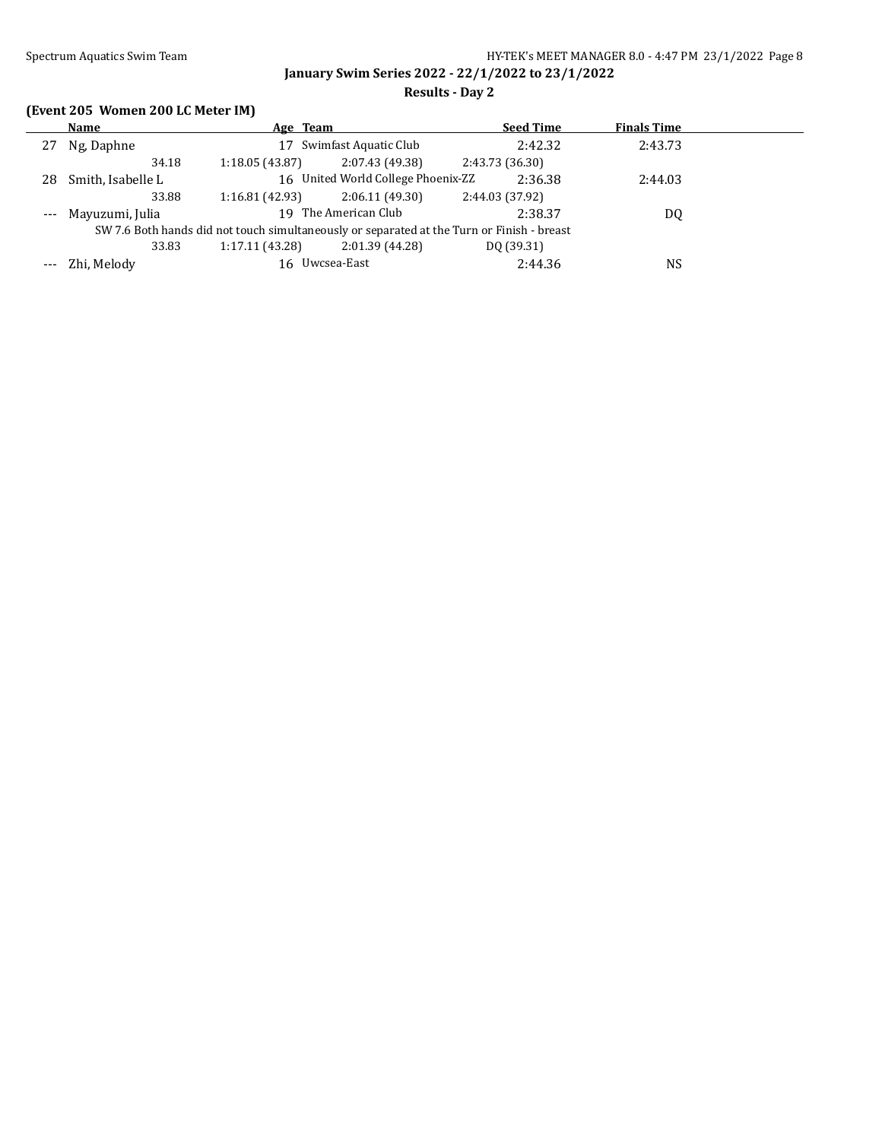## **Results - Day 2**

# **(Event 205 Women 200 LC Meter IM)**

|    | Name                | Age Team       |                                    | <b>Seed Time</b>                                                                           | <b>Finals Time</b> |  |
|----|---------------------|----------------|------------------------------------|--------------------------------------------------------------------------------------------|--------------------|--|
| 27 | Ng, Daphne          | 17             | Swimfast Aquatic Club              | 2:42.32                                                                                    | 2:43.73            |  |
|    | 34.18               | 1:18.05(43.87) | 2:07.43 (49.38)                    | 2:43.73 (36.30)                                                                            |                    |  |
| 28 | Smith, Isabelle L   |                | 16 United World College Phoenix-ZZ | 2:36.38                                                                                    | 2:44.03            |  |
|    | 33.88               | 1:16.81(42.93) | 2:06.11(49.30)                     | 2:44.03 (37.92)                                                                            |                    |  |
|    | --- Mayuzumi, Julia |                | 19 The American Club               | 2:38.37                                                                                    | DQ                 |  |
|    |                     |                |                                    | SW 7.6 Both hands did not touch simultaneously or separated at the Turn or Finish - breast |                    |  |
|    | 33.83               | 1:17.11(43.28) | 2:01.39 (44.28)                    | DO (39.31)                                                                                 |                    |  |
|    | --- Zhi, Melody     | 16 Uwcsea-East |                                    | 2:44.36                                                                                    | NS                 |  |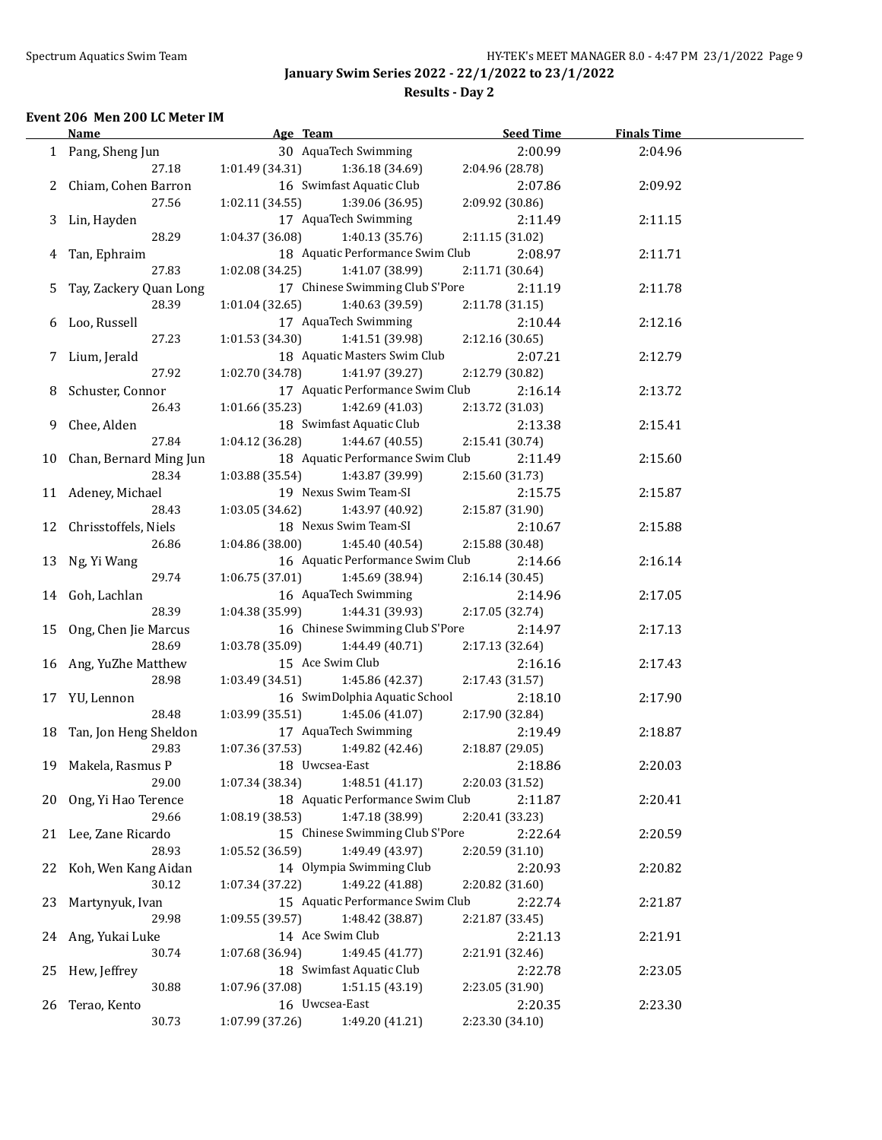## **Results - Day 2**

#### **Event 206 Men 200 LC Meter IM**

|    | <b>Name</b>               | Age Team                                                   | <b>Seed Time</b> | <b>Finals Time</b> |  |
|----|---------------------------|------------------------------------------------------------|------------------|--------------------|--|
|    | 1 Pang, Sheng Jun         | 30 AquaTech Swimming                                       | 2:00.99          | 2:04.96            |  |
|    | 27.18                     | 1:01.49 (34.31)<br>1:36.18 (34.69)                         | 2:04.96 (28.78)  |                    |  |
|    | 2 Chiam, Cohen Barron     | 16 Swimfast Aquatic Club                                   | 2:07.86          | 2:09.92            |  |
|    | 27.56                     | 1:02.11 (34.55)<br>1:39.06 (36.95)                         | 2:09.92 (30.86)  |                    |  |
|    | 3 Lin, Hayden             | 17 AquaTech Swimming                                       | 2:11.49          | 2:11.15            |  |
|    | 28.29                     | 1:04.37 (36.08)<br>1:40.13 (35.76)                         | 2:11.15 (31.02)  |                    |  |
|    | 4 Tan, Ephraim            | 18 Aquatic Performance Swim Club                           | 2:08.97          | 2:11.71            |  |
|    | 27.83                     | 1:02.08 (34.25)<br>1:41.07 (38.99)                         | 2:11.71 (30.64)  |                    |  |
|    |                           | 17 Chinese Swimming Club S'Pore                            |                  |                    |  |
|    | 5 Tay, Zackery Quan Long  |                                                            | 2:11.19          | 2:11.78            |  |
|    | 28.39                     | 1:40.63 (39.59)<br>1:01.04 (32.65)<br>17 AquaTech Swimming | 2:11.78 (31.15)  |                    |  |
|    | 6 Loo, Russell            |                                                            | 2:10.44          | 2:12.16            |  |
|    | 27.23                     | 1:01.53 (34.30)<br>1:41.51 (39.98)                         | 2:12.16 (30.65)  |                    |  |
|    | 7 Lium, Jerald            | 18 Aquatic Masters Swim Club                               | 2:07.21          | 2:12.79            |  |
|    | 27.92                     | 1:02.70 (34.78)<br>1:41.97 (39.27)                         | 2:12.79 (30.82)  |                    |  |
|    | 8 Schuster, Connor        | 17 Aquatic Performance Swim Club                           | 2:16.14          | 2:13.72            |  |
|    | 26.43                     | 1:01.66 (35.23)<br>1:42.69 (41.03)                         | 2:13.72 (31.03)  |                    |  |
|    | 9 Chee, Alden             | 18 Swimfast Aquatic Club                                   | 2:13.38          | 2:15.41            |  |
|    | 27.84                     | 1:04.12(36.28)<br>1:44.67 (40.55)                          | 2:15.41 (30.74)  |                    |  |
|    | 10 Chan, Bernard Ming Jun | 18 Aquatic Performance Swim Club                           | 2:11.49          | 2:15.60            |  |
|    | 28.34                     | 1:03.88(35.54)<br>1:43.87 (39.99)                          | 2:15.60 (31.73)  |                    |  |
|    | 11 Adeney, Michael        | 19 Nexus Swim Team-SI                                      | 2:15.75          | 2:15.87            |  |
|    | 28.43                     | 1:03.05(34.62)<br>1:43.97 (40.92)                          | 2:15.87 (31.90)  |                    |  |
|    | 12 Chrisstoffels, Niels   | 18 Nexus Swim Team-SI                                      | 2:10.67          | 2:15.88            |  |
|    | 26.86                     | 1:04.86 (38.00)<br>1:45.40 (40.54)                         | 2:15.88 (30.48)  |                    |  |
|    | 13 Ng, Yi Wang            | 16 Aquatic Performance Swim Club                           | 2:14.66          | 2:16.14            |  |
|    | 29.74                     | 1:06.75(37.01)<br>1:45.69 (38.94)                          | 2:16.14 (30.45)  |                    |  |
|    | 14 Goh, Lachlan           | 16 AquaTech Swimming                                       | 2:14.96          | 2:17.05            |  |
|    | 28.39                     | 1:04.38(35.99)<br>1:44.31 (39.93)                          | 2:17.05 (32.74)  |                    |  |
|    | 15 Ong, Chen Jie Marcus   | 16 Chinese Swimming Club S'Pore                            | 2:14.97          | 2:17.13            |  |
|    | 28.69                     | 1:03.78 (35.09)<br>1:44.49 (40.71)                         | 2:17.13 (32.64)  |                    |  |
|    | 16 Ang, YuZhe Matthew     | 15 Ace Swim Club                                           | 2:16.16          | 2:17.43            |  |
|    | 28.98                     | 1:03.49 (34.51)                                            |                  |                    |  |
|    |                           | 1:45.86 (42.37)                                            | 2:17.43 (31.57)  |                    |  |
|    | 17 YU, Lennon             | 16 SwimDolphia Aquatic School                              | 2:18.10          | 2:17.90            |  |
|    | 28.48                     | 1:03.99 (35.51)<br>1:45.06 (41.07)                         | 2:17.90 (32.84)  |                    |  |
|    | 18 Tan, Jon Heng Sheldon  | 17 AquaTech Swimming                                       | 2:19.49          | 2:18.87            |  |
|    | 29.83                     | 1:07.36 (37.53)<br>1:49.82 (42.46)                         | 2:18.87 (29.05)  |                    |  |
|    | 19 Makela, Rasmus P       | 18 Uwcsea-East                                             | 2:18.86          | 2:20.03            |  |
|    | 29.00                     | 1:48.51 (41.17)<br>1:07.34 (38.34)                         | 2:20.03 (31.52)  |                    |  |
|    | 20 Ong, Yi Hao Terence    | 18 Aquatic Performance Swim Club                           | 2:11.87          | 2:20.41            |  |
|    | 29.66                     | 1:47.18 (38.99)<br>1:08.19 (38.53)                         | 2:20.41 (33.23)  |                    |  |
|    | 21 Lee, Zane Ricardo      | 15 Chinese Swimming Club S'Pore                            | 2:22.64          | 2:20.59            |  |
|    | 28.93                     | 1:05.52 (36.59)<br>1:49.49 (43.97)                         | 2:20.59 (31.10)  |                    |  |
| 22 | Koh, Wen Kang Aidan       | 14 Olympia Swimming Club                                   | 2:20.93          | 2:20.82            |  |
|    | 30.12                     | 1:49.22 (41.88)<br>1:07.34 (37.22)                         | 2:20.82 (31.60)  |                    |  |
| 23 | Martynyuk, Ivan           | 15 Aquatic Performance Swim Club                           | 2:22.74          | 2:21.87            |  |
|    | 29.98                     | 1:09.55 (39.57)<br>1:48.42 (38.87)                         | 2:21.87 (33.45)  |                    |  |
| 24 | Ang, Yukai Luke           | 14 Ace Swim Club                                           | 2:21.13          | 2:21.91            |  |
|    | 30.74                     | 1:49.45 (41.77)<br>1:07.68 (36.94)                         | 2:21.91 (32.46)  |                    |  |
| 25 | Hew, Jeffrey              | 18 Swimfast Aquatic Club                                   | 2:22.78          | 2:23.05            |  |
|    | 30.88                     | 1:51.15 (43.19)<br>1:07.96 (37.08)                         | 2:23.05 (31.90)  |                    |  |
| 26 | Terao, Kento              | 16 Uwcsea-East                                             | 2:20.35          | 2:23.30            |  |
|    | 30.73                     | 1:07.99 (37.26)<br>1:49.20 (41.21)                         | 2:23.30 (34.10)  |                    |  |
|    |                           |                                                            |                  |                    |  |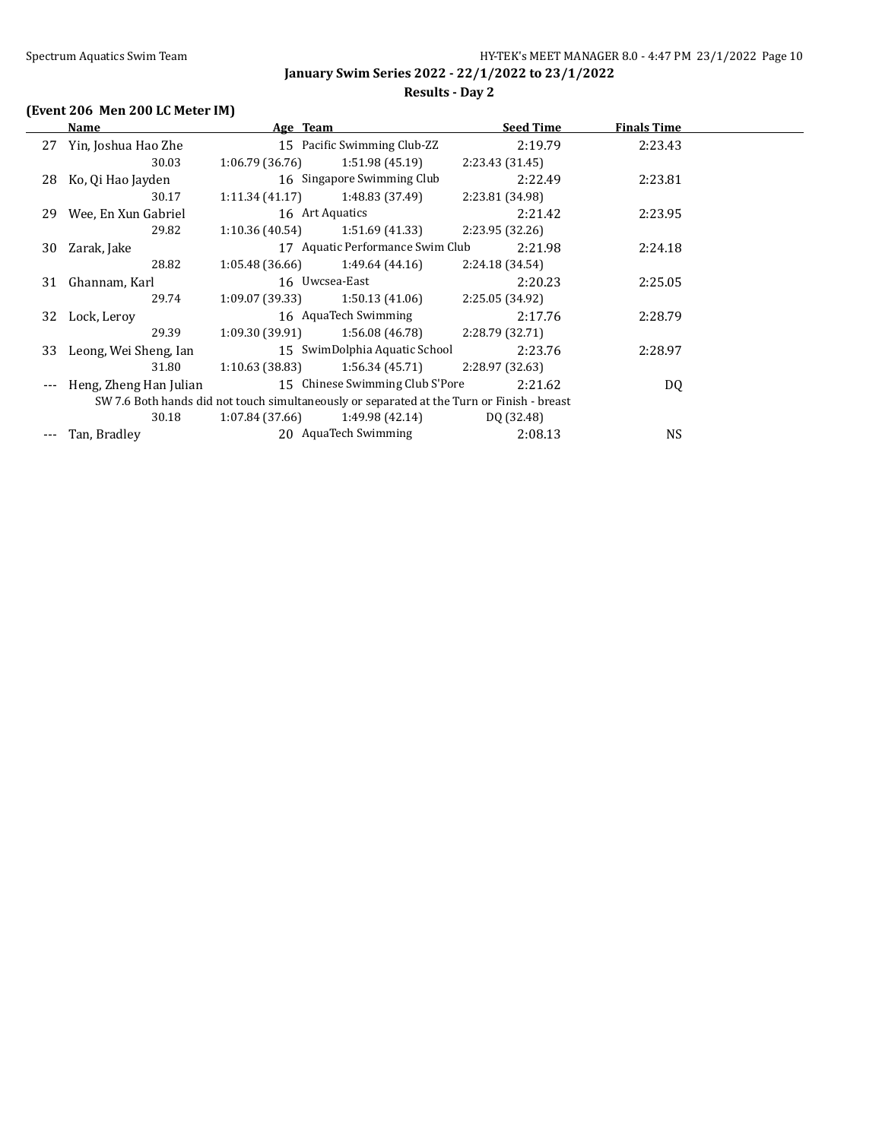**January Swim Series 2022 - 22/1/2022 to 23/1/2022 Results - Day 2**

#### **(Event 206 Men 200 LC Meter IM)**

#### **Name Age Team Seed Time Finals Time** 27 Yin, Joshua Hao Zhe 15 Pacific Swimming Club-ZZ 2:19.79 2:23.43 30.03 1:06.79 (36.76) 1:51.98 (45.19) 2:23.43 (31.45) 28 Ko, Qi Hao Jayden 16 Singapore Swimming Club 2:22.49 2:23.81 30.17 1:11.34 (41.17) 1:48.83 (37.49) 2:23.81 (34.98) 29 Wee, En Xun Gabriel 16 Art Aquatics 2:21.42 2:23.95 29.82 1:10.36 (40.54) 1:51.69 (41.33) 2:23.95 (32.26) 30 Zarak, Jake 17 Aquatic Performance Swim Club 2:21.98 2:24.18 28.82 1:05.48 (36.66) 1:49.64 (44.16) 2:24.18 (34.54) 31 Ghannam, Karl 16 Uwcsea-East 2:20.23 2:25.05 29.74 1:09.07 (39.33) 1:50.13 (41.06) 2:25.05 (34.92) 32 Lock, Leroy 16 AquaTech Swimming 2:17.76 2:28.79 29.39 1:09.30 (39.91) 1:56.08 (46.78) 2:28.79 (32.71) 33 Leong, Wei Sheng, Ian 15 SwimDolphia Aquatic School 2:23.76 2:28.97 31.80 1:10.63 (38.83) 1:56.34 (45.71) 2:28.97 (32.63) --- Heng, Zheng Han Julian 15 Chinese Swimming Club S'Pore 2:21.62 DQ SW 7.6 Both hands did not touch simultaneously or separated at the Turn or Finish - breast 30.18 1:07.84 (37.66) 1:49.98 (42.14) DQ (32.48) --- Tan, Bradley 20 AquaTech Swimming 2:08.13 NS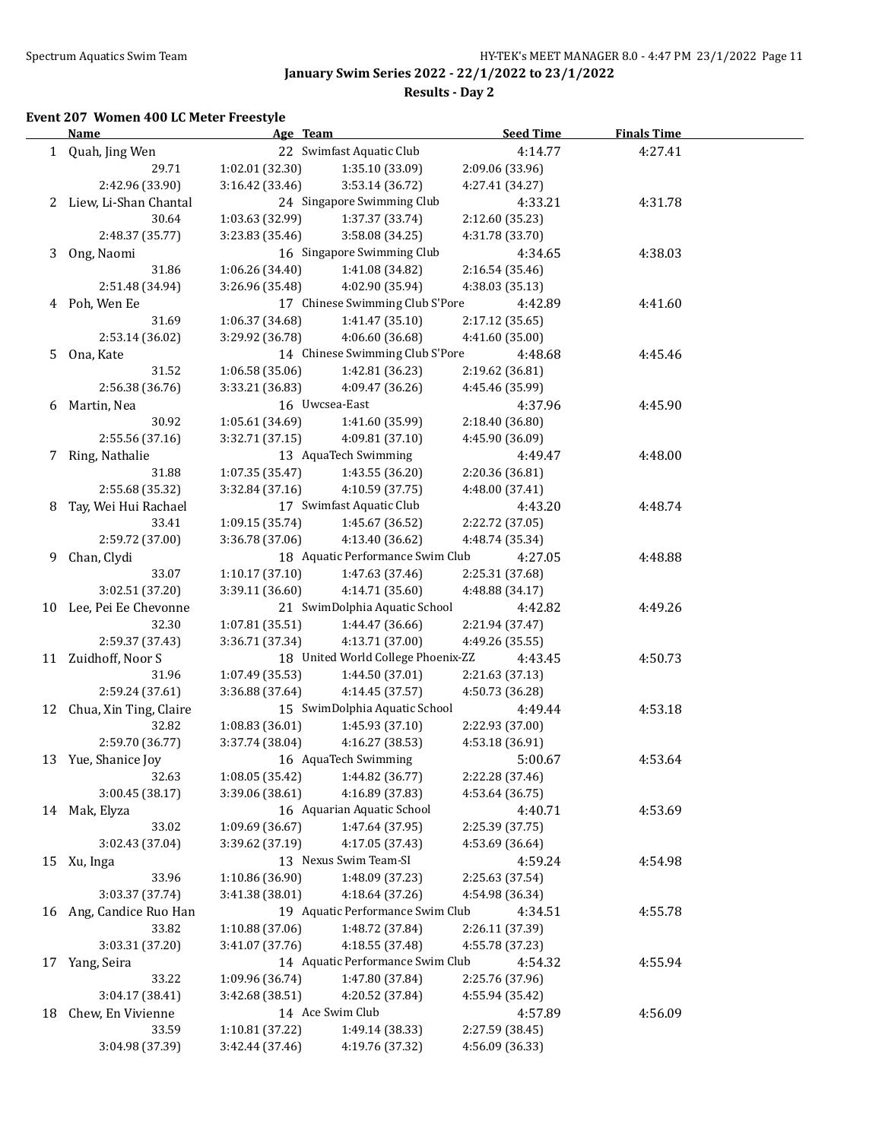**Results - Day 2**

## **Event 207 Women 400 LC Meter Freestyle**

|    | <b>Name</b>               | Age Team        |                                    | <b>Seed Time</b> | <b>Finals Time</b> |  |
|----|---------------------------|-----------------|------------------------------------|------------------|--------------------|--|
|    | 1 Quah, Jing Wen          |                 | 22 Swimfast Aquatic Club           | 4:14.77          | 4:27.41            |  |
|    | 29.71                     | 1:02.01 (32.30) | 1:35.10 (33.09)                    | 2:09.06 (33.96)  |                    |  |
|    | 2:42.96 (33.90)           | 3:16.42 (33.46) | 3:53.14 (36.72)                    | 4:27.41 (34.27)  |                    |  |
|    | 2 Liew, Li-Shan Chantal   |                 | 24 Singapore Swimming Club         | 4:33.21          | 4:31.78            |  |
|    | 30.64                     | 1:03.63 (32.99) | 1:37.37 (33.74)                    | 2:12.60 (35.23)  |                    |  |
|    | 2:48.37 (35.77)           | 3:23.83 (35.46) | 3:58.08 (34.25)                    | 4:31.78 (33.70)  |                    |  |
|    | 3 Ong, Naomi              |                 | 16 Singapore Swimming Club         | 4:34.65          | 4:38.03            |  |
|    | 31.86                     | 1:06.26 (34.40) | 1:41.08 (34.82)                    | 2:16.54 (35.46)  |                    |  |
|    | 2:51.48 (34.94)           | 3:26.96 (35.48) | 4:02.90 (35.94)                    | 4:38.03 (35.13)  |                    |  |
|    | 4 Poh, Wen Ee             |                 | 17 Chinese Swimming Club S'Pore    | 4:42.89          | 4:41.60            |  |
|    | 31.69                     | 1:06.37 (34.68) | 1:41.47 (35.10)                    | 2:17.12 (35.65)  |                    |  |
|    | 2:53.14 (36.02)           | 3:29.92 (36.78) | 4:06.60 (36.68)                    | 4:41.60 (35.00)  |                    |  |
| 5  | Ona, Kate                 |                 | 14 Chinese Swimming Club S'Pore    | 4:48.68          | 4:45.46            |  |
|    | 31.52                     | 1:06.58(35.06)  | 1:42.81 (36.23)                    | 2:19.62 (36.81)  |                    |  |
|    | 2:56.38 (36.76)           | 3:33.21 (36.83) | 4:09.47 (36.26)                    | 4:45.46 (35.99)  |                    |  |
| 6  | Martin, Nea               |                 | 16 Uwcsea-East                     | 4:37.96          | 4:45.90            |  |
|    | 30.92                     | 1:05.61 (34.69) | 1:41.60 (35.99)                    | 2:18.40 (36.80)  |                    |  |
|    | 2:55.56 (37.16)           | 3:32.71 (37.15) | 4:09.81 (37.10)                    | 4:45.90 (36.09)  |                    |  |
| 7  | Ring, Nathalie            |                 | 13 AquaTech Swimming               | 4:49.47          | 4:48.00            |  |
|    | 31.88                     | 1:07.35(35.47)  | 1:43.55 (36.20)                    | 2:20.36 (36.81)  |                    |  |
|    | 2:55.68 (35.32)           | 3:32.84(37.16)  | 4:10.59 (37.75)                    | 4:48.00 (37.41)  |                    |  |
| 8  | Tay, Wei Hui Rachael      |                 | 17 Swimfast Aquatic Club           | 4:43.20          | 4:48.74            |  |
|    | 33.41                     | 1:09.15(35.74)  | 1:45.67 (36.52)                    | 2:22.72 (37.05)  |                    |  |
|    | 2:59.72 (37.00)           |                 | 4:13.40 (36.62)                    |                  |                    |  |
|    |                           | 3:36.78 (37.06) | 18 Aquatic Performance Swim Club   | 4:48.74 (35.34)  |                    |  |
| 9  | Chan, Clydi               |                 |                                    | 4:27.05          | 4:48.88            |  |
|    | 33.07                     | 1:10.17(37.10)  | 1:47.63 (37.46)                    | 2:25.31 (37.68)  |                    |  |
|    | 3:02.51 (37.20)           | 3:39.11 (36.60) | 4:14.71 (35.60)                    | 4:48.88 (34.17)  |                    |  |
|    | 10 Lee, Pei Ee Chevonne   |                 | 21 SwimDolphia Aquatic School      | 4:42.82          | 4:49.26            |  |
|    | 32.30                     | 1:07.81 (35.51) | 1:44.47 (36.66)                    | 2:21.94 (37.47)  |                    |  |
|    | 2:59.37 (37.43)           | 3:36.71 (37.34) | 4:13.71 (37.00)                    | 4:49.26 (35.55)  |                    |  |
|    | 11 Zuidhoff, Noor S       |                 | 18 United World College Phoenix-ZZ | 4:43.45          | 4:50.73            |  |
|    | 31.96                     | 1:07.49 (35.53) | 1:44.50 (37.01)                    | 2:21.63 (37.13)  |                    |  |
|    | 2:59.24 (37.61)           | 3:36.88 (37.64) | 4:14.45 (37.57)                    | 4:50.73 (36.28)  |                    |  |
|    | 12 Chua, Xin Ting, Claire |                 | 15 SwimDolphia Aquatic School      | 4:49.44          | 4:53.18            |  |
|    | 32.82<br>2:59.70 (36.77)  | 1:08.83(36.01)  | 1:45.93 (37.10)                    | 2:22.93 (37.00)  |                    |  |
|    |                           | 3:37.74 (38.04) | 4:16.27 (38.53)                    | 4:53.18 (36.91)  |                    |  |
|    | 13 Yue, Shanice Joy       |                 | 16 AquaTech Swimming               | 5:00.67          | 4:53.64            |  |
|    | 32.63                     | 1:08.05(35.42)  | 1:44.82 (36.77)                    | 2:22.28 (37.46)  |                    |  |
|    | 3:00.45 (38.17)           | 3:39.06 (38.61) | 4:16.89 (37.83)                    | 4:53.64 (36.75)  |                    |  |
|    | 14 Mak, Elyza             |                 | 16 Aquarian Aquatic School         | 4:40.71          | 4:53.69            |  |
|    | 33.02                     | 1:09.69 (36.67) | 1:47.64 (37.95)                    | 2:25.39 (37.75)  |                    |  |
|    | 3:02.43 (37.04)           | 3:39.62 (37.19) | 4:17.05 (37.43)                    | 4:53.69 (36.64)  |                    |  |
|    | 15 Xu, Inga               |                 | 13 Nexus Swim Team-SI              | 4:59.24          | 4:54.98            |  |
|    | 33.96                     | 1:10.86 (36.90) | 1:48.09 (37.23)                    | 2:25.63 (37.54)  |                    |  |
|    | 3:03.37 (37.74)           | 3:41.38 (38.01) | 4:18.64 (37.26)                    | 4:54.98 (36.34)  |                    |  |
| 16 | Ang, Candice Ruo Han      |                 | 19 Aquatic Performance Swim Club   | 4:34.51          | 4:55.78            |  |
|    | 33.82                     | 1:10.88 (37.06) | 1:48.72 (37.84)                    | 2:26.11 (37.39)  |                    |  |
|    | 3:03.31 (37.20)           | 3:41.07 (37.76) | 4:18.55 (37.48)                    | 4:55.78 (37.23)  |                    |  |
| 17 | Yang, Seira               |                 | 14 Aquatic Performance Swim Club   | 4:54.32          | 4:55.94            |  |
|    | 33.22                     | 1:09.96 (36.74) | 1:47.80 (37.84)                    | 2:25.76 (37.96)  |                    |  |
|    | 3:04.17 (38.41)           | 3:42.68 (38.51) | 4:20.52 (37.84)                    | 4:55.94 (35.42)  |                    |  |
| 18 | Chew, En Vivienne         |                 | 14 Ace Swim Club                   | 4:57.89          | 4:56.09            |  |
|    | 33.59                     | 1:10.81 (37.22) | 1:49.14 (38.33)                    | 2:27.59 (38.45)  |                    |  |
|    | 3:04.98 (37.39)           | 3:42.44 (37.46) | 4:19.76 (37.32)                    | 4:56.09 (36.33)  |                    |  |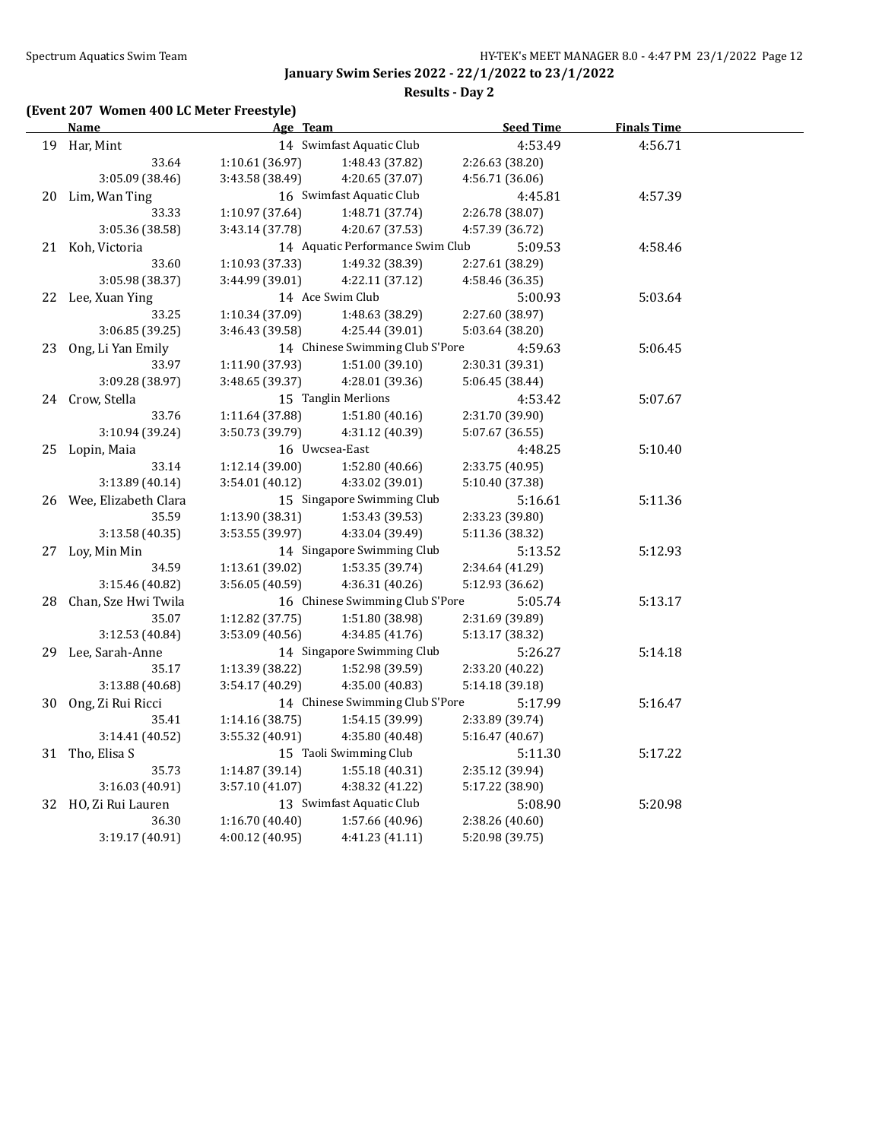**Results - Day 2**

# **(Event 207 Women 400 LC Meter Freestyle)**

| <u>Name</u>             | Age Team        |                                  | <b>Seed Time</b> | <b>Finals Time</b> |  |
|-------------------------|-----------------|----------------------------------|------------------|--------------------|--|
| 19 Har, Mint            |                 | 14 Swimfast Aquatic Club         | 4:53.49          | 4:56.71            |  |
| 33.64                   | 1:10.61(36.97)  | 1:48.43 (37.82)                  | 2:26.63 (38.20)  |                    |  |
| 3:05.09 (38.46)         | 3:43.58 (38.49) | 4:20.65 (37.07)                  | 4:56.71 (36.06)  |                    |  |
| 20 Lim, Wan Ting        |                 | 16 Swimfast Aquatic Club         | 4:45.81          | 4:57.39            |  |
| 33.33                   | 1:10.97 (37.64) | 1:48.71 (37.74)                  | 2:26.78 (38.07)  |                    |  |
| 3:05.36 (38.58)         | 3:43.14 (37.78) | 4:20.67 (37.53)                  | 4:57.39 (36.72)  |                    |  |
| 21 Koh, Victoria        |                 | 14 Aquatic Performance Swim Club | 5:09.53          | 4:58.46            |  |
| 33.60                   | 1:10.93 (37.33) | 1:49.32 (38.39)                  | 2:27.61 (38.29)  |                    |  |
| 3:05.98 (38.37)         | 3:44.99 (39.01) | 4:22.11(37.12)                   | 4:58.46 (36.35)  |                    |  |
| 22 Lee, Xuan Ying       |                 | 14 Ace Swim Club                 | 5:00.93          | 5:03.64            |  |
| 33.25                   | 1:10.34 (37.09) | 1:48.63 (38.29)                  | 2:27.60 (38.97)  |                    |  |
| 3:06.85 (39.25)         | 3:46.43 (39.58) | 4:25.44 (39.01)                  | 5:03.64 (38.20)  |                    |  |
| 23 Ong, Li Yan Emily    |                 | 14 Chinese Swimming Club S'Pore  | 4:59.63          | 5:06.45            |  |
| 33.97                   | 1:11.90 (37.93) | 1:51.00(39.10)                   | 2:30.31 (39.31)  |                    |  |
| 3:09.28 (38.97)         | 3:48.65 (39.37) | 4:28.01 (39.36)                  | 5:06.45 (38.44)  |                    |  |
| 24 Crow, Stella         |                 | 15 Tanglin Merlions              | 4:53.42          | 5:07.67            |  |
| 33.76                   | 1:11.64 (37.88) | 1:51.80 (40.16)                  | 2:31.70 (39.90)  |                    |  |
| 3:10.94 (39.24)         | 3:50.73 (39.79) | 4:31.12 (40.39)                  | 5:07.67 (36.55)  |                    |  |
| 25 Lopin, Maia          | 16 Uwcsea-East  |                                  | 4:48.25          | 5:10.40            |  |
| 33.14                   | 1:12.14 (39.00) | 1:52.80 (40.66)                  | 2:33.75 (40.95)  |                    |  |
| 3:13.89 (40.14)         | 3:54.01 (40.12) | 4:33.02 (39.01)                  | 5:10.40 (37.38)  |                    |  |
| 26 Wee, Elizabeth Clara |                 | 15 Singapore Swimming Club       | 5:16.61          | 5:11.36            |  |
| 35.59                   | 1:13.90 (38.31) | 1:53.43 (39.53)                  | 2:33.23 (39.80)  |                    |  |
| 3:13.58 (40.35)         | 3:53.55 (39.97) | 4:33.04 (39.49)                  | 5:11.36 (38.32)  |                    |  |
| 27 Loy, Min Min         |                 | 14 Singapore Swimming Club       | 5:13.52          | 5:12.93            |  |
| 34.59                   | 1:13.61 (39.02) | 1:53.35 (39.74)                  | 2:34.64 (41.29)  |                    |  |
| 3:15.46 (40.82)         | 3:56.05 (40.59) | 4:36.31 (40.26)                  | 5:12.93 (36.62)  |                    |  |
| 28 Chan, Sze Hwi Twila  |                 | 16 Chinese Swimming Club S'Pore  | 5:05.74          | 5:13.17            |  |
| 35.07                   | 1:12.82 (37.75) | 1:51.80 (38.98)                  | 2:31.69 (39.89)  |                    |  |
| 3:12.53 (40.84)         | 3:53.09 (40.56) | 4:34.85 (41.76)                  | 5:13.17 (38.32)  |                    |  |
| 29 Lee, Sarah-Anne      |                 | 14 Singapore Swimming Club       | 5:26.27          | 5:14.18            |  |
| 35.17                   | 1:13.39 (38.22) | 1:52.98 (39.59)                  | 2:33.20 (40.22)  |                    |  |
| 3:13.88(40.68)          | 3:54.17 (40.29) | 4:35.00 (40.83)                  | 5:14.18 (39.18)  |                    |  |
| 30 Ong, Zi Rui Ricci    |                 | 14 Chinese Swimming Club S'Pore  | 5:17.99          | 5:16.47            |  |
| 35.41                   | 1:14.16(38.75)  | 1:54.15 (39.99)                  | 2:33.89 (39.74)  |                    |  |
| 3:14.41 (40.52)         | 3:55.32 (40.91) | 4:35.80 (40.48)                  | 5:16.47 (40.67)  |                    |  |
| 31 Tho, Elisa S         |                 | 15 Taoli Swimming Club           | 5:11.30          | 5:17.22            |  |
| 35.73                   | 1:14.87 (39.14) | 1:55.18 (40.31)                  | 2:35.12 (39.94)  |                    |  |
| 3:16.03 (40.91)         | 3:57.10(41.07)  | 4:38.32 (41.22)                  | 5:17.22 (38.90)  |                    |  |
| 32 HO, Zi Rui Lauren    |                 | 13 Swimfast Aquatic Club         | 5:08.90          | 5:20.98            |  |
| 36.30                   | 1:16.70(40.40)  | 1:57.66 (40.96)                  | 2:38.26 (40.60)  |                    |  |
| 3:19.17 (40.91)         | 4:00.12 (40.95) | 4:41.23(41.11)                   | 5:20.98 (39.75)  |                    |  |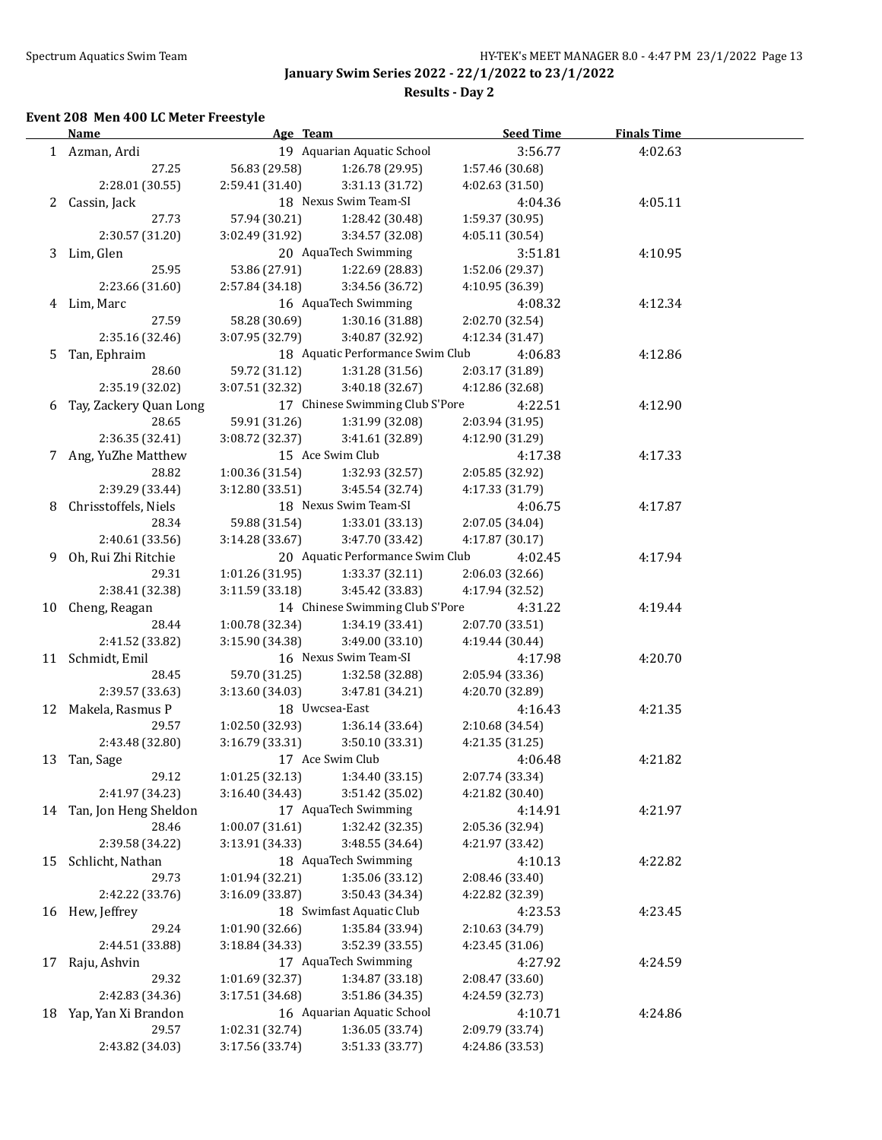**Results - Day 2**

## **Event 208 Men 400 LC Meter Freestyle**

|    | <b>Name</b>               | Age Team                           |                                  | <b>Seed Time</b>                   | <b>Finals Time</b> |  |
|----|---------------------------|------------------------------------|----------------------------------|------------------------------------|--------------------|--|
|    | 1 Azman, Ardi             |                                    | 19 Aquarian Aquatic School       | 3:56.77                            | 4:02.63            |  |
|    | 27.25                     | 56.83 (29.58)                      | 1:26.78 (29.95)                  | 1:57.46 (30.68)                    |                    |  |
|    | 2:28.01 (30.55)           | 2:59.41 (31.40)                    | 3:31.13 (31.72)                  | 4:02.63 (31.50)                    |                    |  |
|    | 2 Cassin, Jack            |                                    | 18 Nexus Swim Team-SI            | 4:04.36                            | 4:05.11            |  |
|    | 27.73                     | 57.94 (30.21)                      | 1:28.42 (30.48)                  | 1:59.37 (30.95)                    |                    |  |
|    | 2:30.57 (31.20)           | 3:02.49 (31.92)                    | 3:34.57 (32.08)                  | 4:05.11 (30.54)                    |                    |  |
|    | 3 Lim, Glen               |                                    | 20 AquaTech Swimming             | 3:51.81                            | 4:10.95            |  |
|    | 25.95                     | 53.86 (27.91)                      | 1:22.69 (28.83)                  | 1:52.06 (29.37)                    |                    |  |
|    | 2:23.66 (31.60)           | 2:57.84 (34.18)                    | 3:34.56 (36.72)                  | 4:10.95 (36.39)                    |                    |  |
|    | 4 Lim, Marc               |                                    | 16 AquaTech Swimming             | 4:08.32                            | 4:12.34            |  |
|    | 27.59                     | 58.28 (30.69)                      | 1:30.16 (31.88)                  | 2:02.70 (32.54)                    |                    |  |
|    | 2:35.16 (32.46)           | 3:07.95 (32.79)                    | 3:40.87 (32.92)                  | 4:12.34 (31.47)                    |                    |  |
| 5  | Tan, Ephraim              |                                    | 18 Aquatic Performance Swim Club | 4:06.83                            | 4:12.86            |  |
|    | 28.60                     | 59.72 (31.12)                      | 1:31.28 (31.56)                  | 2:03.17 (31.89)                    |                    |  |
|    | 2:35.19 (32.02)           | 3:07.51 (32.32)                    | 3:40.18 (32.67)                  | 4:12.86 (32.68)                    |                    |  |
|    | 6 Tay, Zackery Quan Long  |                                    | 17 Chinese Swimming Club S'Pore  | 4:22.51                            | 4:12.90            |  |
|    | 28.65                     | 59.91 (31.26)                      | 1:31.99 (32.08)                  | 2:03.94 (31.95)                    |                    |  |
|    | 2:36.35 (32.41)           | 3:08.72 (32.37)                    | 3:41.61 (32.89)                  | 4:12.90 (31.29)                    |                    |  |
|    | 7 Ang, YuZhe Matthew      |                                    | 15 Ace Swim Club                 | 4:17.38                            | 4:17.33            |  |
|    | 28.82                     | 1:00.36 (31.54)                    | 1:32.93 (32.57)                  | 2:05.85 (32.92)                    |                    |  |
|    | 2:39.29 (33.44)           | 3:12.80 (33.51)                    | 3:45.54 (32.74)                  | 4:17.33 (31.79)                    |                    |  |
| 8  | Chrisstoffels, Niels      |                                    | 18 Nexus Swim Team-SI            | 4:06.75                            | 4:17.87            |  |
|    | 28.34                     | 59.88 (31.54)                      | 1:33.01 (33.13)                  | 2:07.05 (34.04)                    |                    |  |
|    | 2:40.61 (33.56)           | 3:14.28 (33.67)                    | 3:47.70 (33.42)                  | 4:17.87 (30.17)                    |                    |  |
| 9  | Oh, Rui Zhi Ritchie       |                                    | 20 Aquatic Performance Swim Club | 4:02.45                            | 4:17.94            |  |
|    | 29.31                     | 1:01.26 (31.95)                    | 1:33.37 (32.11)                  | 2:06.03 (32.66)                    |                    |  |
|    | 2:38.41 (32.38)           | 3:11.59 (33.18)                    | 3:45.42 (33.83)                  | 4:17.94 (32.52)                    |                    |  |
|    |                           |                                    | 14 Chinese Swimming Club S'Pore  |                                    |                    |  |
|    | 10 Cheng, Reagan<br>28.44 | 1:00.78 (32.34)                    | 1:34.19 (33.41)                  | 4:31.22                            | 4:19.44            |  |
|    | 2:41.52 (33.82)           | 3:15.90 (34.38)                    | 3:49.00 (33.10)                  | 2:07.70 (33.51)<br>4:19.44 (30.44) |                    |  |
|    |                           |                                    | 16 Nexus Swim Team-SI            |                                    |                    |  |
|    | 11 Schmidt, Emil<br>28.45 | 59.70 (31.25)                      | 1:32.58 (32.88)                  | 4:17.98                            | 4:20.70            |  |
|    | 2:39.57 (33.63)           | 3:13.60 (34.03)                    | 3:47.81 (34.21)                  | 2:05.94 (33.36)<br>4:20.70 (32.89) |                    |  |
|    |                           |                                    | 18 Uwcsea-East                   |                                    |                    |  |
|    | 12 Makela, Rasmus P       |                                    | 1:36.14 (33.64)                  | 4:16.43                            | 4:21.35            |  |
|    | 29.57<br>2:43.48 (32.80)  | 1:02.50 (32.93)<br>3:16.79 (33.31) | 3:50.10 (33.31)                  | 2:10.68 (34.54)<br>4:21.35 (31.25) |                    |  |
|    |                           |                                    | 17 Ace Swim Club                 |                                    | 4:21.82            |  |
|    | 13 Tan, Sage<br>29.12     | 1:01.25 (32.13)                    | 1:34.40 (33.15)                  | 4:06.48<br>2:07.74 (33.34)         |                    |  |
|    | 2:41.97 (34.23)           |                                    | 3:51.42 (35.02)                  | 4:21.82 (30.40)                    |                    |  |
|    | 14 Tan, Jon Heng Sheldon  | 3:16.40 (34.43)                    | 17 AquaTech Swimming             |                                    |                    |  |
|    | 28.46                     | 1:00.07(31.61)                     | 1:32.42 (32.35)                  | 4:14.91<br>2:05.36 (32.94)         | 4:21.97            |  |
|    | 2:39.58 (34.22)           | 3:13.91 (34.33)                    | 3:48.55 (34.64)                  | 4:21.97 (33.42)                    |                    |  |
|    |                           |                                    |                                  |                                    |                    |  |
| 15 | Schlicht, Nathan          |                                    | 18 AquaTech Swimming             | 4:10.13                            | 4:22.82            |  |
|    | 29.73                     | 1:01.94 (32.21)                    | 1:35.06 (33.12)                  | 2:08.46 (33.40)                    |                    |  |
|    | 2:42.22 (33.76)           | 3:16.09 (33.87)                    | 3:50.43 (34.34)                  | 4:22.82 (32.39)                    |                    |  |
| 16 | Hew, Jeffrey              |                                    | 18 Swimfast Aquatic Club         | 4:23.53                            | 4:23.45            |  |
|    | 29.24                     | 1:01.90 (32.66)                    | 1:35.84 (33.94)                  | 2:10.63 (34.79)                    |                    |  |
|    | 2:44.51 (33.88)           | 3:18.84 (34.33)                    | 3:52.39 (33.55)                  | 4:23.45 (31.06)                    |                    |  |
| 17 | Raju, Ashvin              |                                    | 17 AquaTech Swimming             | 4:27.92                            | 4:24.59            |  |
|    | 29.32                     | 1:01.69 (32.37)                    | 1:34.87 (33.18)                  | 2:08.47 (33.60)                    |                    |  |
|    | 2:42.83 (34.36)           | 3:17.51 (34.68)                    | 3:51.86 (34.35)                  | 4:24.59 (32.73)                    |                    |  |
| 18 | Yap, Yan Xi Brandon       |                                    | 16 Aquarian Aquatic School       | 4:10.71                            | 4:24.86            |  |
|    | 29.57                     | 1:02.31 (32.74)                    | 1:36.05 (33.74)                  | 2:09.79 (33.74)                    |                    |  |
|    | 2:43.82 (34.03)           | 3:17.56 (33.74)                    | 3:51.33 (33.77)                  | 4:24.86 (33.53)                    |                    |  |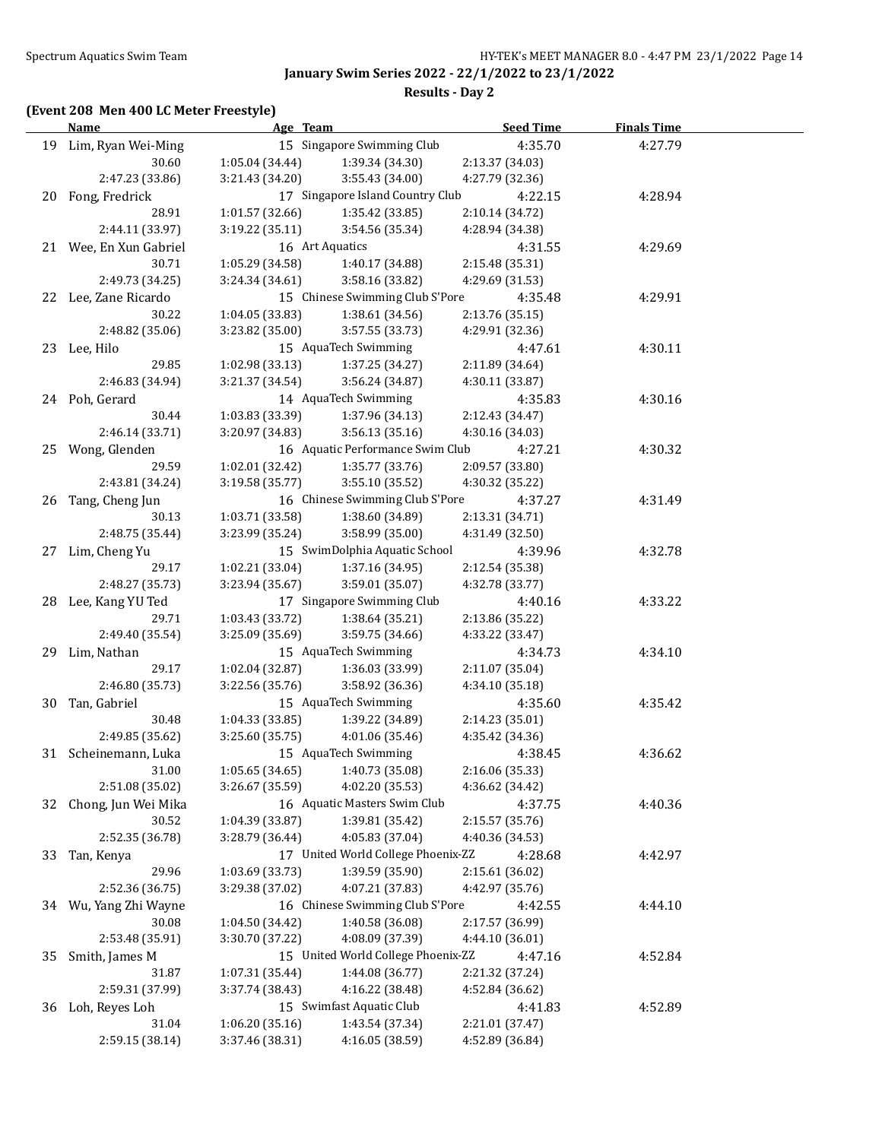**Results - Day 2**

## **(Event 208 Men 400 LC Meter Freestyle)**

|    | <b>Name</b>                  | Age Team                           |                                                       | <b>Seed Time</b>                   | <b>Finals Time</b> |  |
|----|------------------------------|------------------------------------|-------------------------------------------------------|------------------------------------|--------------------|--|
|    | 19 Lim, Ryan Wei-Ming        | 15 Singapore Swimming Club         |                                                       | 4:35.70                            | 4:27.79            |  |
|    | 30.60                        | 1:05.04 (34.44)                    | 1:39.34 (34.30)                                       | 2:13.37 (34.03)                    |                    |  |
|    | 2:47.23 (33.86)              | 3:21.43 (34.20)                    | 3:55.43 (34.00)                                       | 4:27.79 (32.36)                    |                    |  |
|    | 20 Fong, Fredrick            |                                    | 17 Singapore Island Country Club                      | 4:22.15                            | 4:28.94            |  |
|    | 28.91                        | 1:01.57(32.66)                     | 1:35.42 (33.85)                                       | 2:10.14 (34.72)                    |                    |  |
|    | 2:44.11 (33.97)              | 3:19.22(35.11)                     | 3:54.56 (35.34)                                       | 4:28.94 (34.38)                    |                    |  |
|    | 21 Wee, En Xun Gabriel       | 16 Art Aquatics                    |                                                       | 4:31.55                            | 4:29.69            |  |
|    | 30.71                        | 1:05.29 (34.58)                    | 1:40.17 (34.88)                                       | 2:15.48 (35.31)                    |                    |  |
|    | 2:49.73 (34.25)              | 3:24.34 (34.61)                    | 3:58.16 (33.82)                                       | 4:29.69 (31.53)                    |                    |  |
|    | 22 Lee, Zane Ricardo         |                                    | 15 Chinese Swimming Club S'Pore                       | 4:35.48                            | 4:29.91            |  |
|    | 30.22                        | 1:04.05(33.83)                     | 1:38.61 (34.56)                                       | 2:13.76 (35.15)                    |                    |  |
|    | 2:48.82 (35.06)              | 3:23.82 (35.00)                    | 3:57.55 (33.73)                                       | 4:29.91 (32.36)                    |                    |  |
|    | 23 Lee, Hilo                 |                                    | 15 AquaTech Swimming                                  | 4:47.61                            | 4:30.11            |  |
|    | 29.85                        | 1:02.98(33.13)                     | 1:37.25 (34.27)                                       | 2:11.89 (34.64)                    |                    |  |
|    | 2:46.83 (34.94)              | 3:21.37 (34.54)                    | 3:56.24 (34.87)                                       | 4:30.11 (33.87)                    |                    |  |
|    | 24 Poh, Gerard               |                                    | 14 AquaTech Swimming                                  | 4:35.83                            | 4:30.16            |  |
|    | 30.44                        | 1:03.83 (33.39)                    | 1:37.96 (34.13)                                       | 2:12.43 (34.47)                    |                    |  |
|    | 2:46.14 (33.71)              | 3:20.97 (34.83)                    | 3:56.13(35.16)                                        | 4:30.16 (34.03)                    |                    |  |
|    | 25 Wong, Glenden             |                                    | 16 Aquatic Performance Swim Club                      | 4:27.21                            | 4:30.32            |  |
|    | 29.59                        | 1:02.01(32.42)                     | 1:35.77 (33.76)                                       | 2:09.57 (33.80)                    |                    |  |
|    | 2:43.81 (34.24)              | 3:19.58 (35.77)                    | 3:55.10 (35.52)                                       | 4:30.32 (35.22)                    |                    |  |
|    | 26 Tang, Cheng Jun           |                                    | 16 Chinese Swimming Club S'Pore                       | 4:37.27                            | 4:31.49            |  |
|    | 30.13                        | 1:03.71 (33.58)                    | 1:38.60 (34.89)                                       | 2:13.31 (34.71)                    |                    |  |
|    | 2:48.75 (35.44)              | 3:23.99 (35.24)                    | 3:58.99 (35.00)                                       | 4:31.49 (32.50)                    |                    |  |
|    | 27 Lim, Cheng Yu             |                                    | 15 SwimDolphia Aquatic School                         | 4:39.96                            | 4:32.78            |  |
|    | 29.17                        | 1:02.21 (33.04)                    | 1:37.16 (34.95)                                       | 2:12.54 (35.38)                    |                    |  |
|    | 2:48.27 (35.73)              | 3:23.94 (35.67)                    | 3:59.01 (35.07)                                       | 4:32.78 (33.77)                    |                    |  |
|    | 28 Lee, Kang YU Ted          |                                    | 17 Singapore Swimming Club                            | 4:40.16                            | 4:33.22            |  |
|    | 29.71                        | 1:03.43 (33.72)                    | 1:38.64 (35.21)                                       | 2:13.86 (35.22)                    |                    |  |
|    | 2:49.40 (35.54)              | 3:25.09 (35.69)                    | 3:59.75 (34.66)                                       | 4:33.22 (33.47)                    |                    |  |
|    | 29 Lim, Nathan               |                                    |                                                       | 4:34.73                            | 4:34.10            |  |
|    | 29.17                        | 15 AquaTech Swimming               |                                                       | 2:11.07 (35.04)                    |                    |  |
|    | 2:46.80 (35.73)              | 1:02.04 (32.87)<br>3:22.56 (35.76) | 1:36.03 (33.99)<br>3:58.92 (36.36)                    | 4:34.10 (35.18)                    |                    |  |
|    | Tan, Gabriel                 |                                    | 15 AquaTech Swimming                                  | 4:35.60                            |                    |  |
| 30 | 30.48                        | 1:04.33 (33.85)                    |                                                       |                                    | 4:35.42            |  |
|    | 2:49.85 (35.62)              | 3:25.60 (35.75)                    | 1:39.22 (34.89)<br>4:01.06 (35.46)                    | 2:14.23 (35.01)<br>4:35.42 (34.36) |                    |  |
|    | 31 Scheinemann, Luka         |                                    | 15 AquaTech Swimming                                  | 4:38.45                            | 4:36.62            |  |
|    | 31.00                        | $1:05.65(34.65)$ $1:40.73(35.08)$  |                                                       | 2:16.06 (35.33)                    |                    |  |
|    |                              | 3:26.67 (35.59)                    |                                                       |                                    |                    |  |
|    | 2:51.08 (35.02)              |                                    | 4:02.20 (35.53)<br>16 Aquatic Masters Swim Club       | 4:36.62 (34.42)                    | 4:40.36            |  |
| 32 | Chong, Jun Wei Mika<br>30.52 | 1:04.39 (33.87)                    | 1:39.81 (35.42)                                       | 4:37.75<br>2:15.57 (35.76)         |                    |  |
|    | 2:52.35 (36.78)              |                                    |                                                       | 4:40.36 (34.53)                    |                    |  |
|    |                              | 3:28.79 (36.44)                    | 4:05.83 (37.04)<br>17 United World College Phoenix-ZZ |                                    |                    |  |
| 33 | Tan, Kenya                   |                                    |                                                       | 4:28.68                            | 4:42.97            |  |
|    | 29.96                        | 1:03.69 (33.73)                    | 1:39.59 (35.90)                                       | 2:15.61 (36.02)                    |                    |  |
|    | 2:52.36 (36.75)              | 3:29.38 (37.02)                    | 4:07.21 (37.83)                                       | 4:42.97 (35.76)                    |                    |  |
|    | 34 Wu, Yang Zhi Wayne        |                                    | 16 Chinese Swimming Club S'Pore                       | 4:42.55                            | 4:44.10            |  |
|    | 30.08                        | 1:04.50 (34.42)                    | 1:40.58 (36.08)                                       | 2:17.57 (36.99)                    |                    |  |
|    | 2:53.48 (35.91)              | 3:30.70 (37.22)                    | 4:08.09 (37.39)                                       | 4:44.10 (36.01)                    |                    |  |
| 35 | Smith, James M               |                                    | 15 United World College Phoenix-ZZ                    | 4:47.16                            | 4:52.84            |  |
|    | 31.87                        | 1:07.31 (35.44)                    | 1:44.08 (36.77)                                       | 2:21.32 (37.24)                    |                    |  |
|    | 2:59.31 (37.99)              | 3:37.74 (38.43)                    | 4:16.22 (38.48)                                       | 4:52.84 (36.62)                    |                    |  |
|    | 36 Loh, Reyes Loh            |                                    | 15 Swimfast Aquatic Club                              | 4:41.83                            | 4:52.89            |  |
|    | 31.04                        | 1:06.20 (35.16)                    | 1:43.54 (37.34)                                       | 2:21.01 (37.47)                    |                    |  |
|    | 2:59.15 (38.14)              | 3:37.46 (38.31)                    | 4:16.05 (38.59)                                       | 4:52.89 (36.84)                    |                    |  |